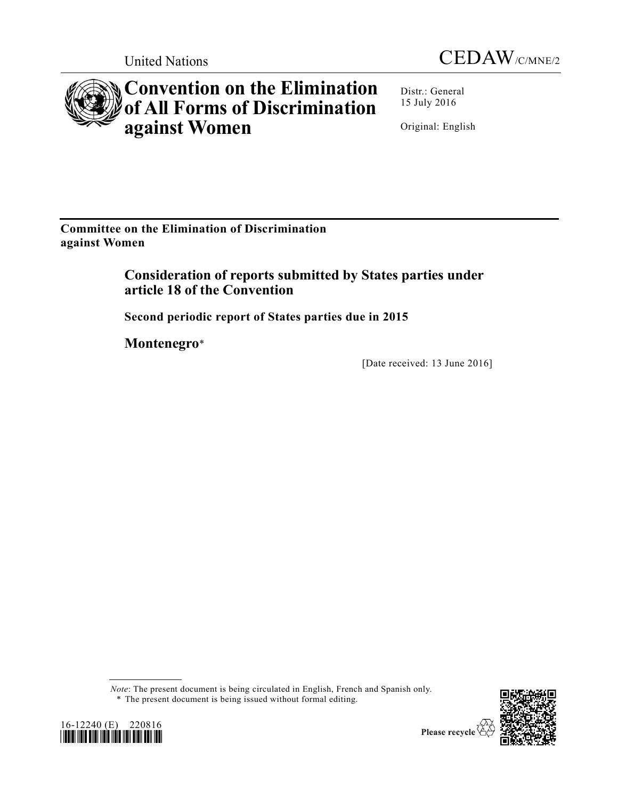



# **Convention on the Elimination of All Forms of Discrimination against Women**

Distr.: General 15 July 2016

Original: English

**Committee on the Elimination of Discrimination against Women** 

> **Consideration of reports submitted by States parties under article 18 of the Convention**

**Second periodic report of States parties due in 2015** 

**Montenegro**\*

[Date received: 13 June 2016]

*Note*: The present document is being circulated in English, French and Spanish only. \* The present document is being issued without formal editing.





Please recycle V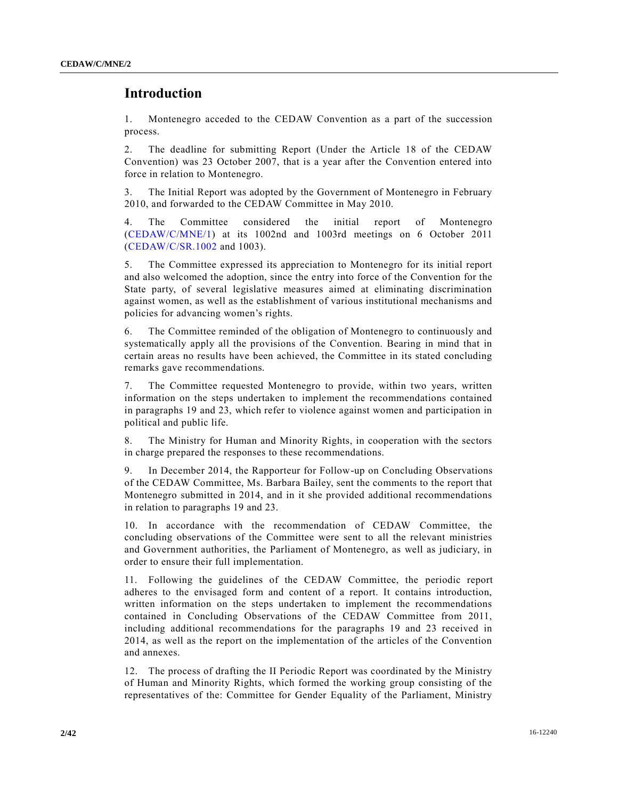# **Introduction**

1. Montenegro acceded to the CEDAW Convention as a part of the succession process.

2. The deadline for submitting Report (Under the Article 18 of the CEDAW Convention) was 23 October 2007, that is a year after the Convention entered into force in relation to Montenegro.

3. The Initial Report was adopted by the Government of Montenegro in February 2010, and forwarded to the CEDAW Committee in May 2010.

4. The Committee considered the initial report of Montenegro [\(CEDAW/C/MNE/1\)](http://undocs.org/CEDAW/C/MNE/1) at its 1002nd and 1003rd meetings on 6 October 2011 [\(CEDAW/C/SR.1002](http://undocs.org/CEDAW/C/SR.1002) and 1003).

5. The Committee expressed its appreciation to Montenegro for its initial report and also welcomed the adoption, since the entry into force of the Convention for the State party, of several legislative measures aimed at eliminating discrimination against women, as well as the establishment of various institutional mechanisms and policies for advancing women's rights.

6. The Committee reminded of the obligation of Montenegro to continuously and systematically apply all the provisions of the Convention. Bearing in mind that in certain areas no results have been achieved, the Committee in its stated concluding remarks gave recommendations.

7. The Committee requested Montenegro to provide, within two years, written information on the steps undertaken to implement the recommendations contained in paragraphs 19 and 23, which refer to violence against women and participation in political and public life.

8. The Ministry for Human and Minority Rights, in cooperation with the sectors in charge prepared the responses to these recommendations.

9. In December 2014, the Rapporteur for Follow-up on Concluding Observations of the CEDAW Committee, Ms. Barbara Bailey, sent the comments to the report that Montenegro submitted in 2014, and in it she provided additional recommendations in relation to paragraphs 19 and 23.

10. In accordance with the recommendation of CEDAW Committee, the concluding observations of the Committee were sent to all the relevant ministries and Government authorities, the Parliament of Montenegro, as well as judiciary, in order to ensure their full implementation.

11. Following the guidelines of the CEDAW Committee, the periodic report adheres to the envisaged form and content of a report. It contains introduction, written information on the steps undertaken to implement the recommendations contained in Concluding Observations of the CEDAW Committee from 2011, including additional recommendations for the paragraphs 19 and 23 received in 2014, as well as the report on the implementation of the articles of the Convention and annexes.

12. The process of drafting the II Periodic Report was coordinated by the Ministry of Human and Minority Rights, which formed the working group consisting of the representatives of the: Committee for Gender Equality of the Parliament, Ministry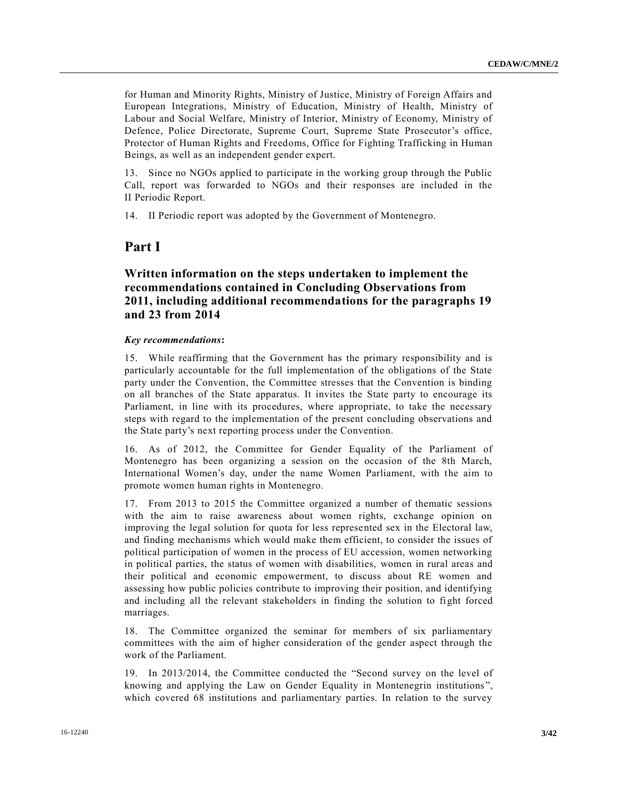for Human and Minority Rights, Ministry of Justice, Ministry of Foreign Affairs and European Integrations, Ministry of Education, Ministry of Health, Ministry of Labour and Social Welfare, Ministry of Interior, Ministry of Economy, Ministry of Defence, Police Directorate, Supreme Court, Supreme State Prosecutor's office, Protector of Human Rights and Freedoms, Office for Fighting Trafficking in Human Beings, as well as an independent gender expert.

13. Since no NGOs applied to participate in the working group through the Public Call, report was forwarded to NGOs and their responses are included in the II Periodic Report.

14. II Periodic report was adopted by the Government of Montenegro.

# **Part I**

# **Written information on the steps undertaken to implement the recommendations contained in Concluding Observations from 2011, including additional recommendations for the paragraphs 19 and 23 from 2014**

#### *Key recommendations***:**

15. While reaffirming that the Government has the primary responsibility and is particularly accountable for the full implementation of the obligations of the State party under the Convention, the Committee stresses that the Convention is binding on all branches of the State apparatus. It invites the State party to encourage its Parliament, in line with its procedures, where appropriate, to take the necessary steps with regard to the implementation of the present concluding observations and the State party's next reporting process under the Convention.

16. As of 2012, the Committee for Gender Equality of the Parliament of Montenegro has been organizing a session on the occasion of the 8th March, International Women's day, under the name Women Parliament, with the aim to promote women human rights in Montenegro.

17. From 2013 to 2015 the Committee organized a number of thematic sessions with the aim to raise awareness about women rights, exchange opinion on improving the legal solution for quota for less represented sex in the Electoral law, and finding mechanisms which would make them efficient, to consider the issues of political participation of women in the process of EU accession, women networking in political parties, the status of women with disabilities, women in rural areas and their political and economic empowerment, to discuss about RE women and assessing how public policies contribute to improving their position, and identifying and including all the relevant stakeholders in finding the solution to fight forced marriages.

18. The Committee organized the seminar for members of six parliamentary committees with the aim of higher consideration of the gender aspect through the work of the Parliament.

19. In 2013/2014, the Committee conducted the "Second survey on the level of knowing and applying the Law on Gender Equality in Montenegrin institutions ", which covered 68 institutions and parliamentary parties. In relation to the survey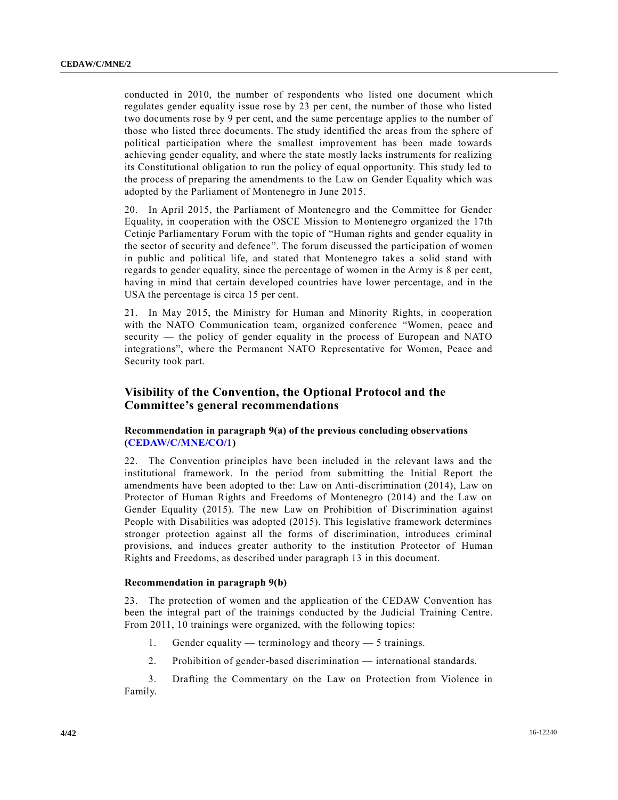conducted in 2010, the number of respondents who listed one document which regulates gender equality issue rose by 23 per cent, the number of those who listed two documents rose by 9 per cent, and the same percentage applies to the number of those who listed three documents. The study identified the areas from the sphere of political participation where the smallest improvement has been made towards achieving gender equality, and where the state mostly lacks instruments for realizing its Constitutional obligation to run the policy of equal opportunity. This study led to the process of preparing the amendments to the Law on Gender Equality which was adopted by the Parliament of Montenegro in June 2015.

20. In April 2015, the Parliament of Montenegro and the Committee for Gender Equality, in cooperation with the OSCE Mission to Montenegro organized the 17th Cetinje Parliamentary Forum with the topic of "Human rights and gender equality in the sector of security and defence". The forum discussed the participation of women in public and political life, and stated that Montenegro takes a solid stand with regards to gender equality, since the percentage of women in the Army is 8 per cent, having in mind that certain developed countries have lower percentage, and in the USA the percentage is circa 15 per cent.

21. In May 2015, the Ministry for Human and Minority Rights, in cooperation with the NATO Communication team, organized conference "Women, peace and security — the policy of gender equality in the process of European and NATO integrations", where the Permanent NATO Representative for Women, Peace and Security took part.

# **Visibility of the Convention, the Optional Protocol and the Committee's general recommendations**

## **Recommendation in paragraph 9(a) of the previous concluding observations [\(CEDAW/C/MNE/CO/1\)](http://undocs.org/CEDAW/C/MNE/CO/1)**

22. The Convention principles have been included in the relevant laws and the institutional framework. In the period from submitting the Initial Report the amendments have been adopted to the: Law on Anti-discrimination (2014), Law on Protector of Human Rights and Freedoms of Montenegro (2014) and the Law on Gender Equality (2015). The new Law on Prohibition of Discrimination against People with Disabilities was adopted (2015). This legislative framework determines stronger protection against all the forms of discrimination, introduces criminal provisions, and induces greater authority to the institution Protector of Human Rights and Freedoms, as described under paragraph 13 in this document.

## **Recommendation in paragraph 9(b)**

23. The protection of women and the application of the CEDAW Convention has been the integral part of the trainings conducted by the Judicial Training Centre. From 2011, 10 trainings were organized, with the following topics:

- 1. Gender equality terminology and theory 5 trainings.
- 2. Prohibition of gender-based discrimination international standards.

3. Drafting the Commentary on the Law on Protection from Violence in Family.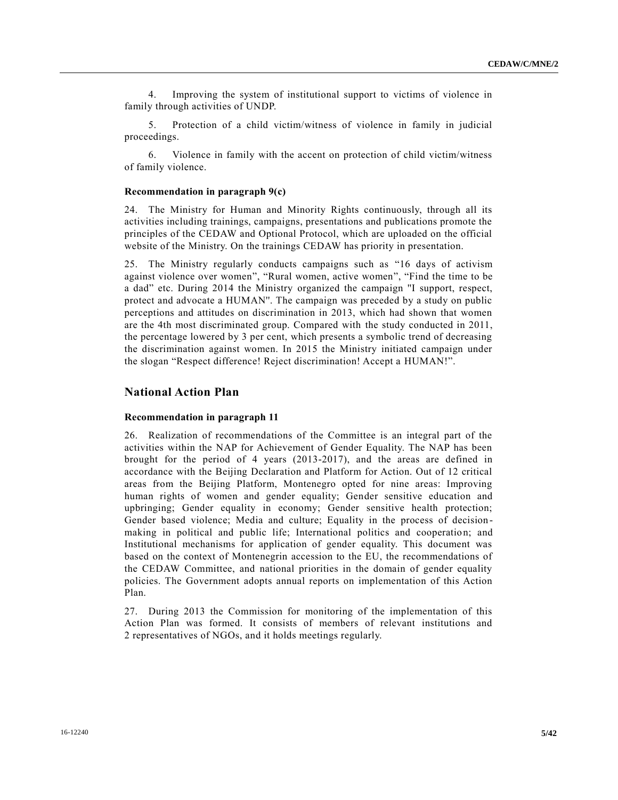4. Improving the system of institutional support to victims of violence in family through activities of UNDP.

5. Protection of a child victim/witness of violence in family in judicial proceedings.

6. Violence in family with the accent on protection of child victim/witness of family violence.

#### **Recommendation in paragraph 9(c)**

24. The Ministry for Human and Minority Rights continuously, through all its activities including trainings, campaigns, presentations and publications promote the principles of the CEDAW and Optional Protocol, which are uploaded on the official website of the Ministry. On the trainings CEDAW has priority in presentation.

25. The Ministry regularly conducts campaigns such as "16 days of activism against violence over women", "Rural women, active women", "Find the time to be a dad" etc. During 2014 the Ministry organized the campaign ''I support, respect, protect and advocate a HUMAN''. The campaign was preceded by a study on public perceptions and attitudes on discrimination in 2013, which had shown that women are the 4th most discriminated group. Compared with the study conducted in 2011, the percentage lowered by 3 per cent, which presents a symbolic trend of decreasing the discrimination against women. In 2015 the Ministry initiated campaign under the slogan "Respect difference! Reject discrimination! Accept a HUMAN!".

#### **National Action Plan**

#### **Recommendation in paragraph 11**

26. Realization of recommendations of the Committee is an integral part of the activities within the NAP for Achievement of Gender Equality. The NAP has been brought for the period of 4 years (2013-2017), and the areas are defined in accordance with the Beijing Declaration and Platform for Action. Out of 12 critical areas from the Beijing Platform, Montenegro opted for nine areas: Improving human rights of women and gender equality; Gender sensitive education and upbringing; Gender equality in economy; Gender sensitive health protection; Gender based violence; Media and culture; Equality in the process of decision making in political and public life; International politics and cooperatio n; and Institutional mechanisms for application of gender equality. This document was based on the context of Montenegrin accession to the EU, the recommendations of the CEDAW Committee, and national priorities in the domain of gender equality policies. The Government adopts annual reports on implementation of this Action Plan.

27. During 2013 the Commission for monitoring of the implementation of this Action Plan was formed. It consists of members of relevant institutions and 2 representatives of NGOs, and it holds meetings regularly.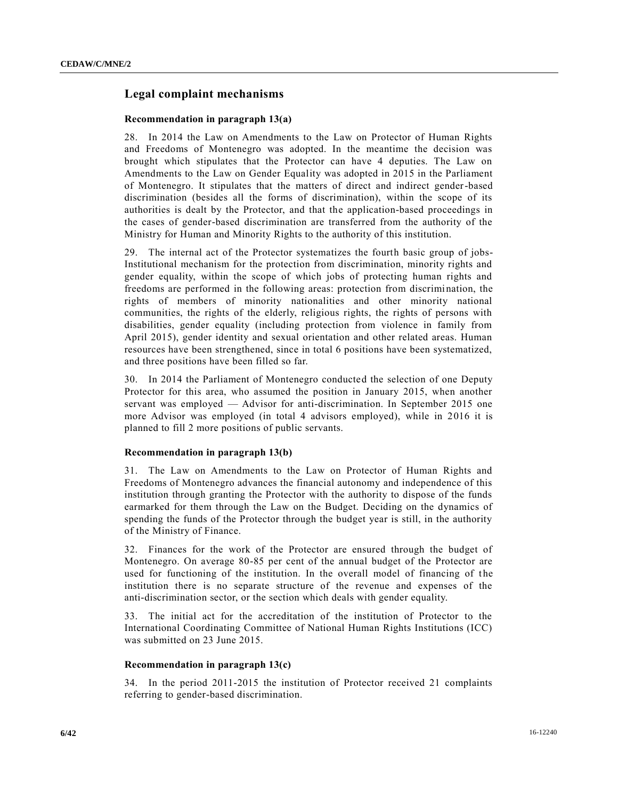# **Legal complaint mechanisms**

#### **Recommendation in paragraph 13(a)**

28. In 2014 the Law on Amendments to the Law on Protector of Human Rights and Freedoms of Montenegro was adopted. In the meantime the decision was brought which stipulates that the Protector can have 4 deputies. The Law on Amendments to the Law on Gender Equality was adopted in 2015 in the Parliament of Montenegro. It stipulates that the matters of direct and indirect gender-based discrimination (besides all the forms of discrimination), within the scope of its authorities is dealt by the Protector, and that the application-based proceedings in the cases of gender-based discrimination are transferred from the authority of the Ministry for Human and Minority Rights to the authority of this institution.

29. The internal act of the Protector systematizes the fourth basic group of jobs-Institutional mechanism for the protection from discrimination, minority rights and gender equality, within the scope of which jobs of protecting human rights and freedoms are performed in the following areas: protection from discrimination, the rights of members of minority nationalities and other minority national communities, the rights of the elderly, religious rights, the rights of persons with disabilities, gender equality (including protection from violence in family from April 2015), gender identity and sexual orientation and other related areas. Human resources have been strengthened, since in total 6 positions have been systematized, and three positions have been filled so far.

30. In 2014 the Parliament of Montenegro conducted the selection of one Deputy Protector for this area, who assumed the position in January 2015, when another servant was employed — Advisor for anti-discrimination. In September 2015 one more Advisor was employed (in total 4 advisors employed), while in 2016 it is planned to fill 2 more positions of public servants.

## **Recommendation in paragraph 13(b)**

31. The Law on Amendments to the Law on Protector of Human Rights and Freedoms of Montenegro advances the financial autonomy and independence of this institution through granting the Protector with the authority to dispose of the funds earmarked for them through the Law on the Budget. Deciding on the dynamics of spending the funds of the Protector through the budget year is still, in the authority of the Ministry of Finance.

32. Finances for the work of the Protector are ensured through the budget of Montenegro. On average 80-85 per cent of the annual budget of the Protector are used for functioning of the institution. In the overall model of financing of the institution there is no separate structure of the revenue and expenses of the anti-discrimination sector, or the section which deals with gender equality.

33. The initial act for the accreditation of the institution of Protector to the International Coordinating Committee of National Human Rights Institutions (ICC) was submitted on 23 June 2015.

## **Recommendation in paragraph 13(c)**

34. In the period 2011-2015 the institution of Protector received 21 complaints referring to gender-based discrimination.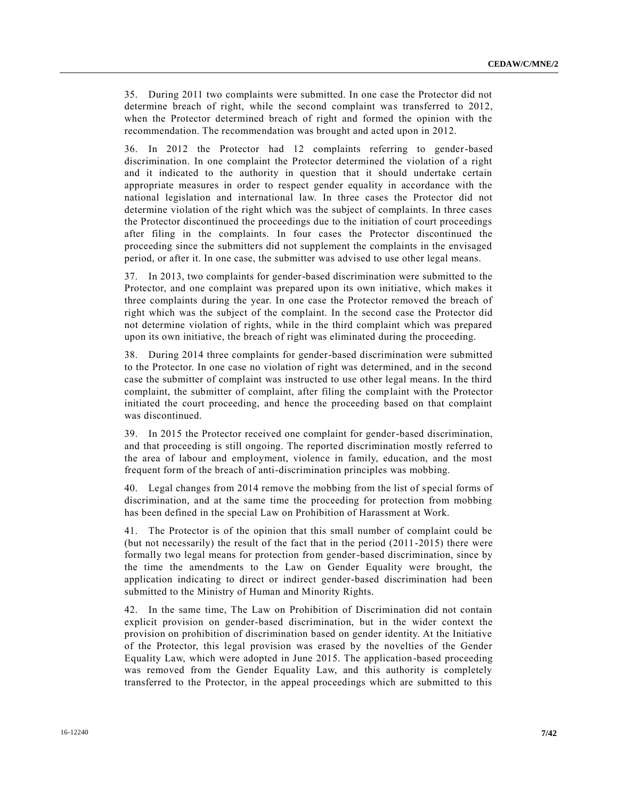35. During 2011 two complaints were submitted. In one case the Protector did not determine breach of right, while the second complaint was transferred to 2012, when the Protector determined breach of right and formed the opinion with the recommendation. The recommendation was brought and acted upon in 2012.

36. In 2012 the Protector had 12 complaints referring to gender-based discrimination. In one complaint the Protector determined the violation of a right and it indicated to the authority in question that it should undertake certain appropriate measures in order to respect gender equality in accordance with the national legislation and international law. In three cases the Protector did not determine violation of the right which was the subject of complaints. In three cases the Protector discontinued the proceedings due to the initiation of court proceedings after filing in the complaints. In four cases the Protector discontinued the proceeding since the submitters did not supplement the complaints in the envisaged period, or after it. In one case, the submitter was advised to use other legal means.

37. In 2013, two complaints for gender-based discrimination were submitted to the Protector, and one complaint was prepared upon its own initiative, which makes it three complaints during the year. In one case the Protector removed the breach of right which was the subject of the complaint. In the second case the Protector did not determine violation of rights, while in the third complaint which was prepared upon its own initiative, the breach of right was eliminated during the proceeding.

38. During 2014 three complaints for gender-based discrimination were submitted to the Protector. In one case no violation of right was determined, and in the second case the submitter of complaint was instructed to use other legal means. In the third complaint, the submitter of complaint, after filing the complaint with the Protector initiated the court proceeding, and hence the proceeding based on that complaint was discontinued.

39. In 2015 the Protector received one complaint for gender-based discrimination, and that proceeding is still ongoing. The reported discrimination mostly referred to the area of labour and employment, violence in family, education, and the most frequent form of the breach of anti-discrimination principles was mobbing.

40. Legal changes from 2014 remove the mobbing from the list of special forms of discrimination, and at the same time the proceeding for protection from mobbing has been defined in the special Law on Prohibition of Harassment at Work.

41. The Protector is of the opinion that this small number of complaint could be (but not necessarily) the result of the fact that in the period (2011-2015) there were formally two legal means for protection from gender-based discrimination, since by the time the amendments to the Law on Gender Equality were brought, the application indicating to direct or indirect gender-based discrimination had been submitted to the Ministry of Human and Minority Rights.

42. In the same time, The Law on Prohibition of Discrimination did not contain explicit provision on gender-based discrimination, but in the wider context the provision on prohibition of discrimination based on gender identity. At the Initiative of the Protector, this legal provision was erased by the novelties of the Gender Equality Law, which were adopted in June 2015. The application-based proceeding was removed from the Gender Equality Law, and this authority is completely transferred to the Protector, in the appeal proceedings which are submitted to this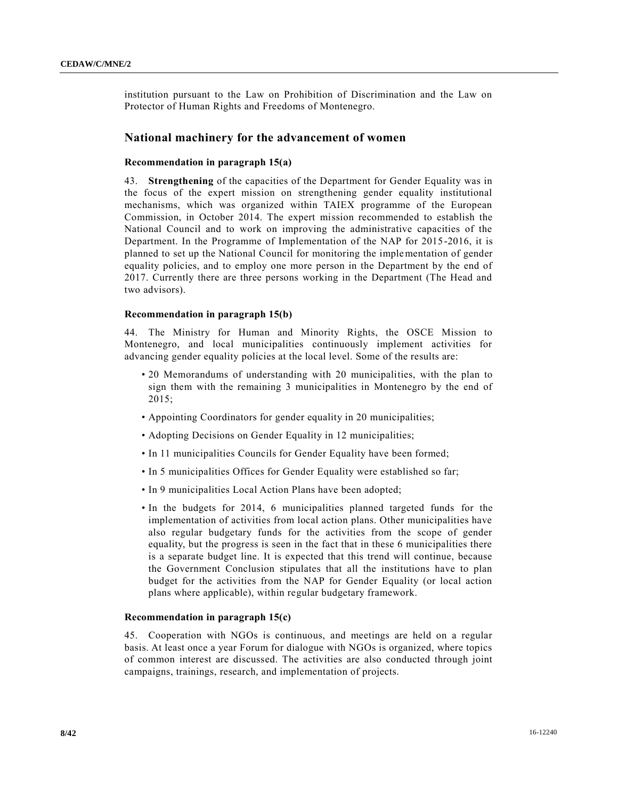institution pursuant to the Law on Prohibition of Discrimination and the Law on Protector of Human Rights and Freedoms of Montenegro.

## **National machinery for the advancement of women**

## **Recommendation in paragraph 15(a)**

43. **Strengthening** of the capacities of the Department for Gender Equality was in the focus of the expert mission on strengthening gender equality institutional mechanisms, which was organized within TAIEX programme of the European Commission, in October 2014. The expert mission recommended to establish the National Council and to work on improving the administrative capacities of the Department. In the Programme of Implementation of the NAP for 2015-2016, it is planned to set up the National Council for monitoring the implementation of gender equality policies, and to employ one more person in the Department by the end of 2017. Currently there are three persons working in the Department (The Head and two advisors).

#### **Recommendation in paragraph 15(b)**

44. The Ministry for Human and Minority Rights, the OSCE Mission to Montenegro, and local municipalities continuously implement activities for advancing gender equality policies at the local level. Some of the results are:

- 20 Memorandums of understanding with 20 municipalities, with the plan to sign them with the remaining 3 municipalities in Montenegro by the end of 2015;
- Appointing Coordinators for gender equality in 20 municipalities;
- Adopting Decisions on Gender Equality in 12 municipalities;
- In 11 municipalities Councils for Gender Equality have been formed;
- In 5 municipalities Offices for Gender Equality were established so far;
- In 9 municipalities Local Action Plans have been adopted;
- In the budgets for 2014, 6 municipalities planned targeted funds for the implementation of activities from local action plans. Other municipalities have also regular budgetary funds for the activities from the scope of gender equality, but the progress is seen in the fact that in these 6 municipalities there is a separate budget line. It is expected that this trend will continue, because the Government Conclusion stipulates that all the institutions have to plan budget for the activities from the NAP for Gender Equality (or local action plans where applicable), within regular budgetary framework.

## **Recommendation in paragraph 15(c)**

45. Cooperation with NGOs is continuous, and meetings are held on a regular basis. At least once a year Forum for dialogue with NGOs is organized, where topics of common interest are discussed. The activities are also conducted through joint campaigns, trainings, research, and implementation of projects.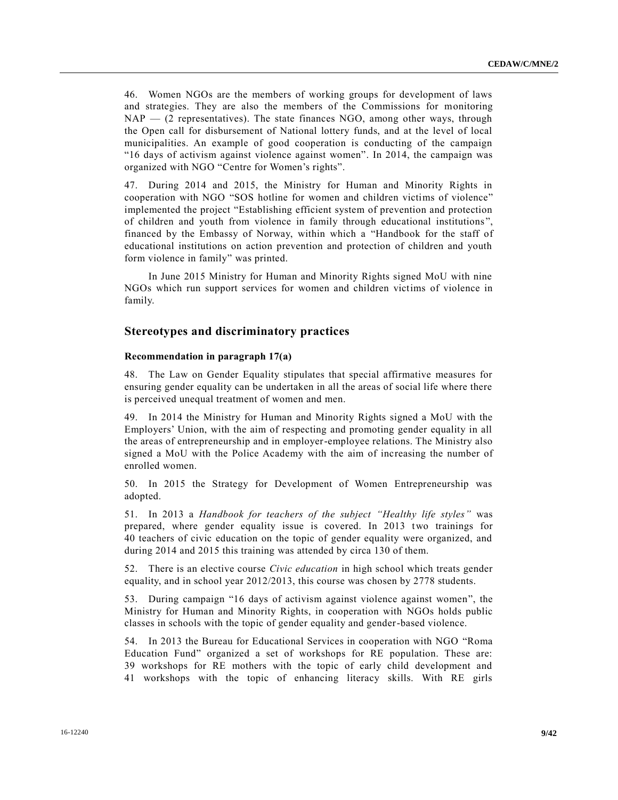46. Women NGOs are the members of working groups for development of laws and strategies. They are also the members of the Commissions for monitoring NAP — (2 representatives). The state finances NGO, among other ways, through the Open call for disbursement of National lottery funds, and at the level of local municipalities. An example of good cooperation is conducting of the campaign "16 days of activism against violence against women". In 2014, the campaign was organized with NGO "Centre for Women's rights".

47. During 2014 and 2015, the Ministry for Human and Minority Rights in cooperation with NGO "SOS hotline for women and children victims of violence" implemented the project "Establishing efficient system of prevention and protection of children and youth from violence in family through educational institutions ", financed by the Embassy of Norway, within which a "Handbook for the staff of educational institutions on action prevention and protection of children and youth form violence in family" was printed.

In June 2015 Ministry for Human and Minority Rights signed MoU with nine NGOs which run support services for women and children victims of violence in family.

## **Stereotypes and discriminatory practices**

#### **Recommendation in paragraph 17(a)**

48. The Law on Gender Equality stipulates that special affirmative measures for ensuring gender equality can be undertaken in all the areas of social life where there is perceived unequal treatment of women and men.

49. In 2014 the Ministry for Human and Minority Rights signed a MoU with the Employers' Union, with the aim of respecting and promoting gender equality in all the areas of entrepreneurship and in employer-employee relations. The Ministry also signed a MoU with the Police Academy with the aim of increasing the number of enrolled women.

50. In 2015 the Strategy for Development of Women Entrepreneurship was adopted.

51. In 2013 a *Handbook for teachers of the subject "Healthy life styles"* was prepared, where gender equality issue is covered. In 2013 two trainings for 40 teachers of civic education on the topic of gender equality were organized, and during 2014 and 2015 this training was attended by circa 130 of them.

52. There is an elective course *Civic education* in high school which treats gender equality, and in school year 2012/2013, this course was chosen by 2778 students.

53. During campaign "16 days of activism against violence against women", the Ministry for Human and Minority Rights, in cooperation with NGOs holds public classes in schools with the topic of gender equality and gender-based violence.

54. In 2013 the Bureau for Educational Services in cooperation with NGO "Roma Education Fund" organized a set of workshops for RE population. These are: 39 workshops for RE mothers with the topic of early child development and 41 workshops with the topic of enhancing literacy skills. With RE girls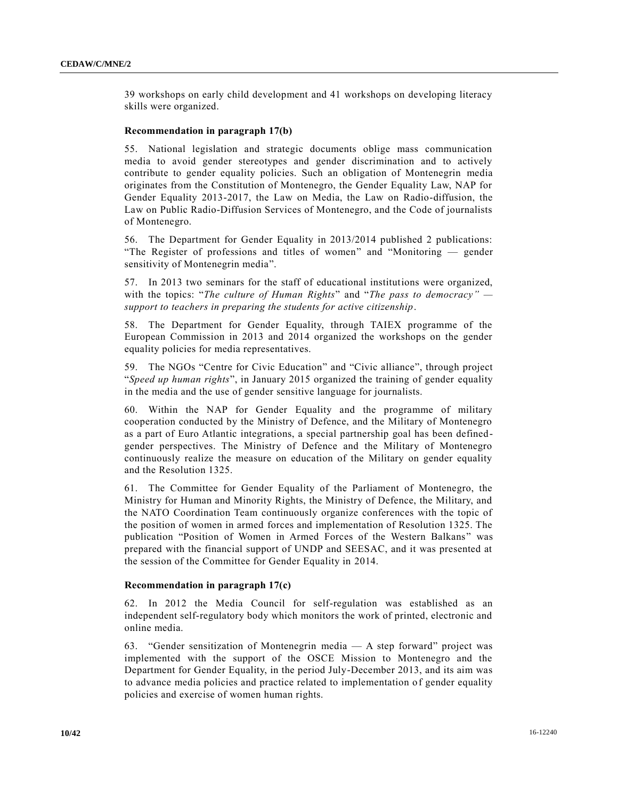39 workshops on early child development and 41 workshops on developing literacy skills were organized.

#### **Recommendation in paragraph 17(b)**

55. National legislation and strategic documents oblige mass communication media to avoid gender stereotypes and gender discrimination and to actively contribute to gender equality policies. Such an obligation of Montenegrin media originates from the Constitution of Montenegro, the Gender Equality Law, NAP for Gender Equality 2013-2017, the Law on Media, the Law on Radio-diffusion, the Law on Public Radio-Diffusion Services of Montenegro, and the Code of journalists of Montenegro.

56. The Department for Gender Equality in 2013/2014 published 2 publications: "The Register of professions and titles of women" and "Monitoring — gender sensitivity of Montenegrin media".

57. In 2013 two seminars for the staff of educational institutions were organized, with the topics: "*The culture of Human Rights*" and "*The pass to democracy" support to teachers in preparing the students for active citizenship*.

58. The Department for Gender Equality, through TAIEX programme of the European Commission in 2013 and 2014 organized the workshops on the gender equality policies for media representatives.

59. The NGOs "Centre for Civic Education" and "Civic alliance", through project "*Speed up human rights*", in January 2015 organized the training of gender equality in the media and the use of gender sensitive language for journalists.

60. Within the NAP for Gender Equality and the programme of military cooperation conducted by the Ministry of Defence, and the Military of Montenegro as a part of Euro Atlantic integrations, a special partnership goal has been definedgender perspectives. The Ministry of Defence and the Military of Montenegro continuously realize the measure on education of the Military on gender equality and the Resolution 1325.

61. The Committee for Gender Equality of the Parliament of Montenegro, the Ministry for Human and Minority Rights, the Ministry of Defence, the Military, and the NATO Coordination Team continuously organize conferences with the topic of the position of women in armed forces and implementation of Resolution 1325. The publication "Position of Women in Armed Forces of the Western Balkans" was prepared with the financial support of UNDP and SEESAC, and it was presented at the session of the Committee for Gender Equality in 2014.

#### **Recommendation in paragraph 17(c)**

62. In 2012 the Media Council for self-regulation was established as an independent self-regulatory body which monitors the work of printed, electronic and online media.

63. "Gender sensitization of Montenegrin media — A step forward" project was implemented with the support of the OSCE Mission to Montenegro and the Department for Gender Equality, in the period July-December 2013, and its aim was to advance media policies and practice related to implementation of gender equality policies and exercise of women human rights.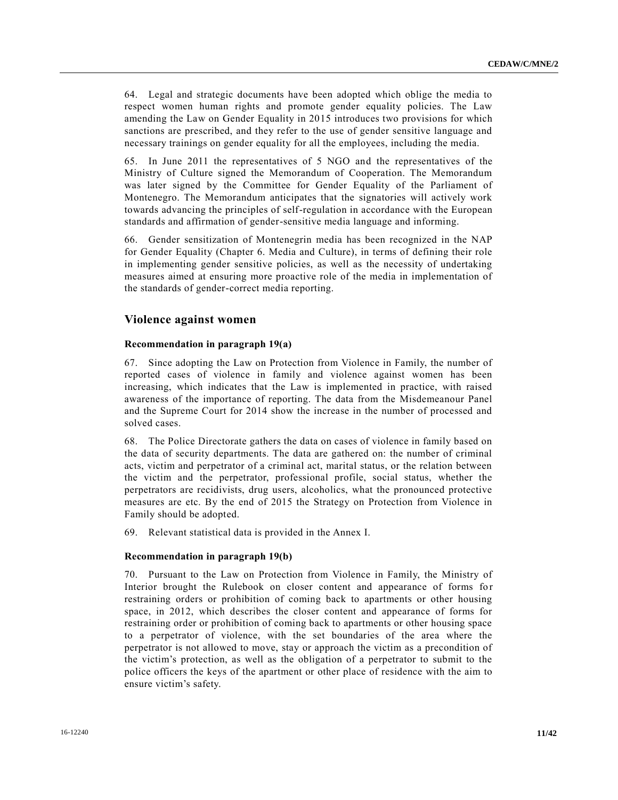64. Legal and strategic documents have been adopted which oblige the media to respect women human rights and promote gender equality policies. The Law amending the Law on Gender Equality in 2015 introduces two provisions for which sanctions are prescribed, and they refer to the use of gender sensitive language and necessary trainings on gender equality for all the employees, including the media.

65. In June 2011 the representatives of 5 NGO and the representatives of the Ministry of Culture signed the Memorandum of Cooperation. The Memorandum was later signed by the Committee for Gender Equality of the Parliament of Montenegro. The Memorandum anticipates that the signatories will actively work towards advancing the principles of self-regulation in accordance with the European standards and affirmation of gender-sensitive media language and informing.

66. Gender sensitization of Montenegrin media has been recognized in the NAP for Gender Equality (Chapter 6. Media and Culture), in terms of defining their role in implementing gender sensitive policies, as well as the necessity of undertaking measures aimed at ensuring more proactive role of the media in implementation of the standards of gender-correct media reporting.

# **Violence against women**

## **Recommendation in paragraph 19(a)**

67. Since adopting the Law on Protection from Violence in Family, the number of reported cases of violence in family and violence against women has been increasing, which indicates that the Law is implemented in practice, with raised awareness of the importance of reporting. The data from the Misdemeanour Panel and the Supreme Court for 2014 show the increase in the number of processed and solved cases.

68. The Police Directorate gathers the data on cases of violence in family based on the data of security departments. The data are gathered on: the number of criminal acts, victim and perpetrator of a criminal act, marital status, or the relation between the victim and the perpetrator, professional profile, social status, whether the perpetrators are recidivists, drug users, alcoholics, what the pronounced protective measures are etc. By the end of 2015 the Strategy on Protection from Violence in Family should be adopted.

69. Relevant statistical data is provided in the Annex I.

## **Recommendation in paragraph 19(b)**

70. Pursuant to the Law on Protection from Violence in Family, the Ministry of Interior brought the Rulebook on closer content and appearance of forms for restraining orders or prohibition of coming back to apartments or other housing space, in 2012, which describes the closer content and appearance of forms for restraining order or prohibition of coming back to apartments or other housing space to a perpetrator of violence, with the set boundaries of the area where the perpetrator is not allowed to move, stay or approach the victim as a precondition of the victim's protection, as well as the obligation of a perpetrator to submit to the police officers the keys of the apartment or other place of residence with the aim to ensure victim's safety.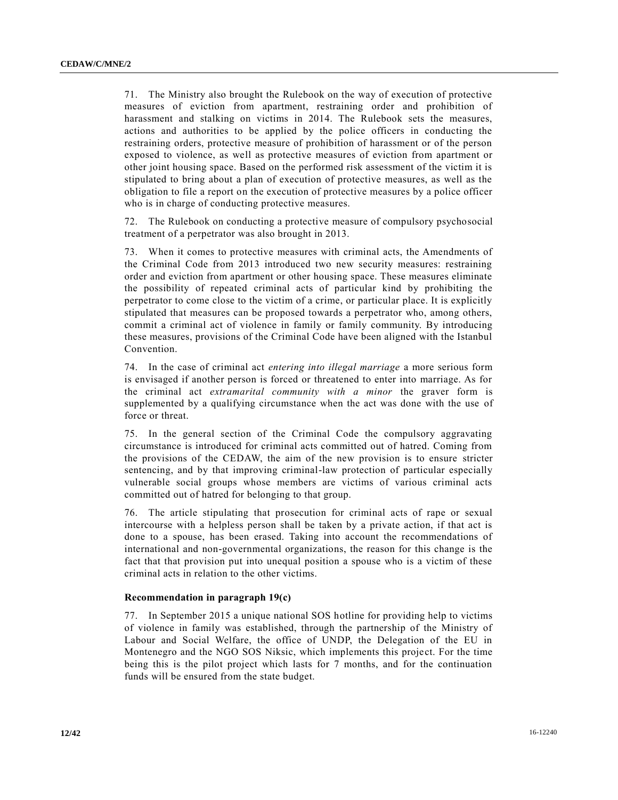71. The Ministry also brought the Rulebook on the way of execution of protective measures of eviction from apartment, restraining order and prohibition of harassment and stalking on victims in 2014. The Rulebook sets the measures, actions and authorities to be applied by the police officers in conducting the restraining orders, protective measure of prohibition of harassment or of the person exposed to violence, as well as protective measures of eviction from apartment or other joint housing space. Based on the performed risk assessment of the victim it is stipulated to bring about a plan of execution of protective measures, as well as the obligation to file a report on the execution of protective measures by a police officer who is in charge of conducting protective measures.

72. The Rulebook on conducting a protective measure of compulsory psychosocial treatment of a perpetrator was also brought in 2013.

73. When it comes to protective measures with criminal acts, the Amendments of the Criminal Code from 2013 introduced two new security measures: restraining order and eviction from apartment or other housing space. These measures eliminate the possibility of repeated criminal acts of particular kind by prohibiting the perpetrator to come close to the victim of a crime, or particular place. It is explicitly stipulated that measures can be proposed towards a perpetrator who, among others, commit a criminal act of violence in family or family community. By introducing these measures, provisions of the Criminal Code have been aligned with the Istanbul Convention.

74. In the case of criminal act *entering into illegal marriage* a more serious form is envisaged if another person is forced or threatened to enter into marriage. As for the criminal act *extramarital community with a minor* the graver form is supplemented by a qualifying circumstance when the act was done with the use of force or threat.

75. In the general section of the Criminal Code the compulsory aggravating circumstance is introduced for criminal acts committed out of hatred. Coming from the provisions of the CEDAW, the aim of the new provision is to ensure stricter sentencing, and by that improving criminal-law protection of particular especially vulnerable social groups whose members are victims of various criminal acts committed out of hatred for belonging to that group.

76. The article stipulating that prosecution for criminal acts of rape or sexual intercourse with a helpless person shall be taken by a private action, if that act is done to a spouse, has been erased. Taking into account the recommendations of international and non-governmental organizations, the reason for this change is the fact that that provision put into unequal position a spouse who is a victim of these criminal acts in relation to the other victims.

## **Recommendation in paragraph 19(c)**

77. In September 2015 a unique national SOS hotline for providing help to victims of violence in family was established, through the partnership of the Ministry of Labour and Social Welfare, the office of UNDP, the Delegation of the EU in Montenegro and the NGO SOS Niksic, which implements this project. For the time being this is the pilot project which lasts for 7 months, and for the continuation funds will be ensured from the state budget.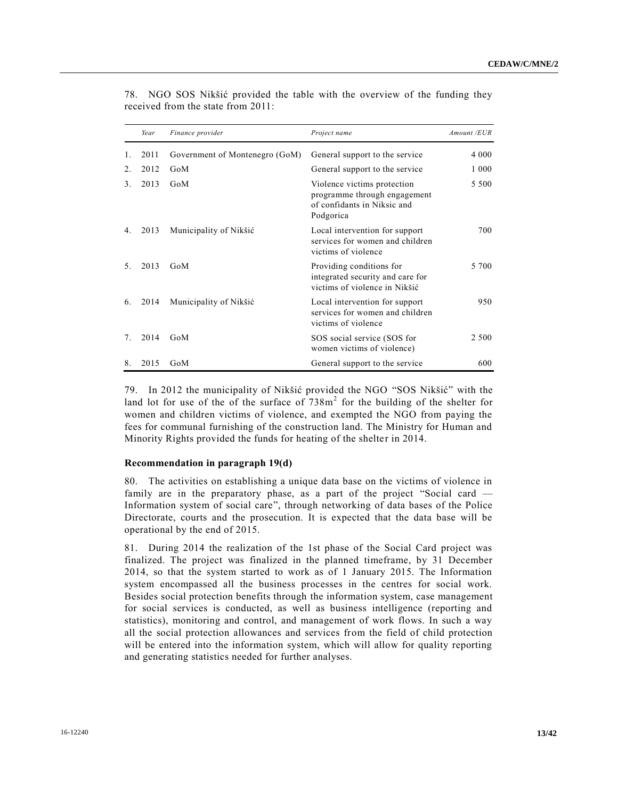|                  | Year | Finance provider               | Project name                                                                                            | Amount /EUR |
|------------------|------|--------------------------------|---------------------------------------------------------------------------------------------------------|-------------|
|                  | 2011 | Government of Montenegro (GoM) | General support to the service                                                                          | 4 0 0 0     |
| $\overline{2}$ . | 2012 | GoM                            | General support to the service                                                                          | 1 0 0 0     |
| 3                | 2013 | GoM                            | Violence victims protection<br>programme through engagement<br>of confidants in Niksic and<br>Podgorica | 5 500       |
| 4.               | 2013 | Municipality of Nikšić         | Local intervention for support<br>services for women and children<br>victims of violence                | 700         |
| 5.               | 2013 | GoM                            | Providing conditions for<br>integrated security and care for<br>victims of violence in Nikšić           | 5 700       |
| 6.               | 2014 | Municipality of Nikšić         | Local intervention for support<br>services for women and children<br>victims of violence                | 950         |
| 7                | 2014 | GoM                            | SOS social service (SOS for<br>women victims of violence)                                               | 2 500       |
| 8.               | 2015 | GoM                            | General support to the service                                                                          | 600         |

78. NGO SOS Nikšić provided the table with the overview of the funding they received from the state from 2011:

79. In 2012 the municipality of Nikšić provided the NGO "SOS Nikšić" with the land lot for use of the of the surface of  $738m<sup>2</sup>$  for the building of the shelter for women and children victims of violence, and exempted the NGO from paying the fees for communal furnishing of the construction land. The Ministry for Human and Minority Rights provided the funds for heating of the shelter in 2014.

#### **Recommendation in paragraph 19(d)**

80. The activities on establishing a unique data base on the victims of violence in family are in the preparatory phase, as a part of the project "Social card — Information system of social care", through networking of data bases of the Police Directorate, courts and the prosecution. It is expected that the data base will be operational by the end of 2015.

81. During 2014 the realization of the 1st phase of the Social Card project was finalized. The project was finalized in the planned timeframe, by 31 December 2014, so that the system started to work as of 1 January 2015. The Information system encompassed all the business processes in the centres for social work. Besides social protection benefits through the information system, case management for social services is conducted, as well as business intelligence (reporting and statistics), monitoring and control, and management of work flows. In such a way all the social protection allowances and services from the field of child protection will be entered into the information system, which will allow for quality reporting and generating statistics needed for further analyses.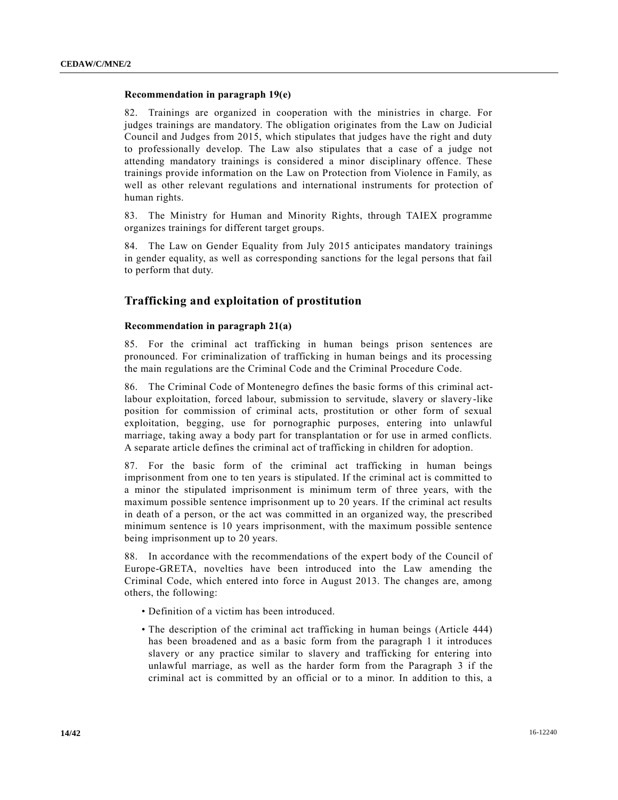## **Recommendation in paragraph 19(e)**

82. Trainings are organized in cooperation with the ministries in charge. For judges trainings are mandatory. The obligation originates from the Law on Judicial Council and Judges from 2015, which stipulates that judges have the right and duty to professionally develop. The Law also stipulates that a case of a judge not attending mandatory trainings is considered a minor disciplinary offence. These trainings provide information on the Law on Protection from Violence in Family, as well as other relevant regulations and international instruments for protection of human rights.

83. The Ministry for Human and Minority Rights, through TAIEX programme organizes trainings for different target groups.

84. The Law on Gender Equality from July 2015 anticipates mandatory trainings in gender equality, as well as corresponding sanctions for the legal persons that fail to perform that duty.

## **Trafficking and exploitation of prostitution**

#### **Recommendation in paragraph 21(a)**

85. For the criminal act trafficking in human beings prison sentences are pronounced. For criminalization of trafficking in human beings and its processing the main regulations are the Criminal Code and the Criminal Procedure Code.

86. The Criminal Code of Montenegro defines the basic forms of this criminal actlabour exploitation, forced labour, submission to servitude, slavery or slavery-like position for commission of criminal acts, prostitution or other form of sexual exploitation, begging, use for pornographic purposes, entering into unlawful marriage, taking away a body part for transplantation or for use in armed conflicts. A separate article defines the criminal act of trafficking in children for adoption.

87. For the basic form of the criminal act trafficking in human beings imprisonment from one to ten years is stipulated. If the criminal act is committed to a minor the stipulated imprisonment is minimum term of three years, with the maximum possible sentence imprisonment up to 20 years. If the criminal act results in death of a person, or the act was committed in an organized way, the prescribed minimum sentence is 10 years imprisonment, with the maximum possible sentence being imprisonment up to 20 years.

88. In accordance with the recommendations of the expert body of the Council of Europe-GRETA, novelties have been introduced into the Law amending the Criminal Code, which entered into force in August 2013. The changes are, among others, the following:

- Definition of a victim has been introduced.
- The description of the criminal act trafficking in human beings (Article 444) has been broadened and as a basic form from the paragraph 1 it introduces slavery or any practice similar to slavery and trafficking for entering into unlawful marriage, as well as the harder form from the Paragraph 3 if the criminal act is committed by an official or to a minor. In addition to this, a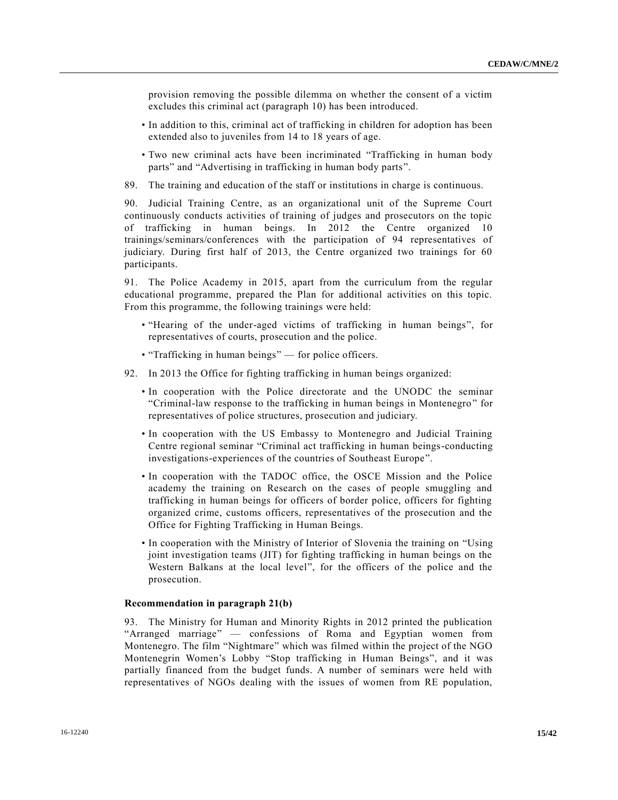provision removing the possible dilemma on whether the consent of a victim excludes this criminal act (paragraph 10) has been introduced.

- In addition to this, criminal act of trafficking in children for adoption has been extended also to juveniles from 14 to 18 years of age.
- Two new criminal acts have been incriminated "Trafficking in human body parts" and "Advertising in trafficking in human body parts".
- 89. The training and education of the staff or institutions in charge is continuous.

90. Judicial Training Centre, as an organizational unit of the Supreme Court continuously conducts activities of training of judges and prosecutors on the topic of trafficking in human beings. In 2012 the Centre organized 10 trainings/seminars/conferences with the participation of 94 representatives of judiciary. During first half of 2013, the Centre organized two trainings for 60 participants.

91. The Police Academy in 2015, apart from the curriculum from the regular educational programme, prepared the Plan for additional activities on this topic. From this programme, the following trainings were held:

- "Hearing of the under-aged victims of trafficking in human beings", for representatives of courts, prosecution and the police.
- "Trafficking in human beings" for police officers.
- 92. In 2013 the Office for fighting trafficking in human beings organized:
	- In cooperation with the Police directorate and the UNODC the seminar "Criminal-law response to the trafficking in human beings in Montenegro" for representatives of police structures, prosecution and judiciary.
	- In cooperation with the US Embassy to Montenegro and Judicial Training Centre regional seminar "Criminal act trafficking in human beings-conducting investigations-experiences of the countries of Southeast Europe".
	- In cooperation with the TADOC office, the OSCE Mission and the Police academy the training on Research on the cases of people smuggling and trafficking in human beings for officers of border police, officers for fighting organized crime, customs officers, representatives of the prosecution and the Office for Fighting Trafficking in Human Beings.
	- In cooperation with the Ministry of Interior of Slovenia the training on "Using joint investigation teams (JIT) for fighting trafficking in human beings on the Western Balkans at the local level", for the officers of the police and the prosecution.

## **Recommendation in paragraph 21(b)**

93. The Ministry for Human and Minority Rights in 2012 printed the publication "Arranged marriage" — confessions of Roma and Egyptian women from Montenegro. The film "Nightmare" which was filmed within the project of the NGO Montenegrin Women's Lobby "Stop trafficking in Human Beings", and it was partially financed from the budget funds. A number of seminars were held with representatives of NGOs dealing with the issues of women from RE population,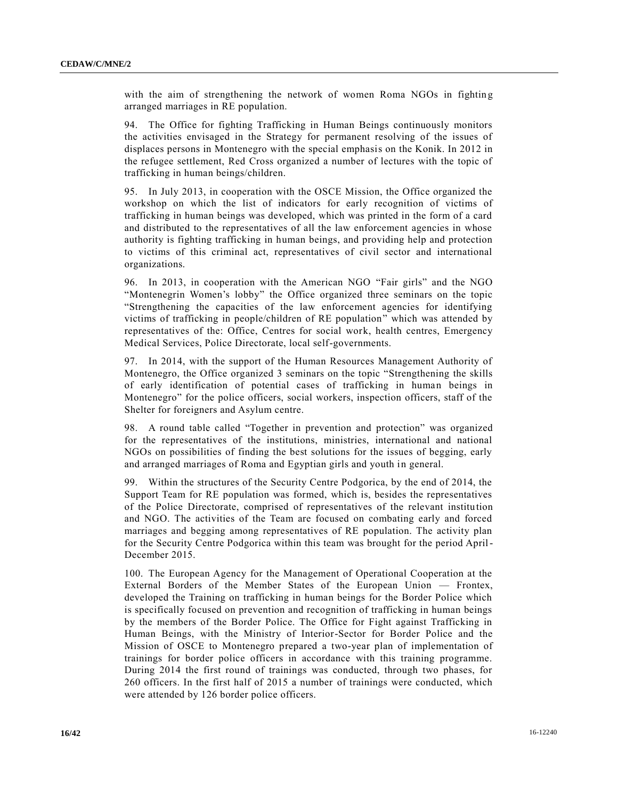with the aim of strengthening the network of women Roma NGOs in fighting arranged marriages in RE population.

94. The Office for fighting Trafficking in Human Beings continuously monitors the activities envisaged in the Strategy for permanent resolving of the issues of displaces persons in Montenegro with the special emphasis on the Konik. In 2012 in the refugee settlement, Red Cross organized a number of lectures with the topic of trafficking in human beings/children.

95. In July 2013, in cooperation with the OSCE Mission, the Office organized the workshop on which the list of indicators for early recognition of victims of trafficking in human beings was developed, which was printed in the form of a card and distributed to the representatives of all the law enforcement agencies in whose authority is fighting trafficking in human beings, and providing help and protection to victims of this criminal act, representatives of civil sector and international organizations.

96. In 2013, in cooperation with the American NGO "Fair girls" and the NGO "Montenegrin Women's lobby" the Office organized three seminars on the topic "Strengthening the capacities of the law enforcement agencies for identifying victims of trafficking in people/children of RE population" which was attended by representatives of the: Office, Centres for social work, health centres, Emergency Medical Services, Police Directorate, local self-governments.

97. In 2014, with the support of the Human Resources Management Authority of Montenegro, the Office organized 3 seminars on the topic "Strengthening the skills of early identification of potential cases of trafficking in human beings in Montenegro" for the police officers, social workers, inspection officers, staff of the Shelter for foreigners and Asylum centre.

98. A round table called "Together in prevention and protection" was organized for the representatives of the institutions, ministries, international and national NGOs on possibilities of finding the best solutions for the issues of begging, early and arranged marriages of Roma and Egyptian girls and youth in general.

99. Within the structures of the Security Centre Podgorica, by the end of 2014, the Support Team for RE population was formed, which is, besides the representatives of the Police Directorate, comprised of representatives of the relevant institution and NGO. The activities of the Team are focused on combating early and forced marriages and begging among representatives of RE population. The activity plan for the Security Centre Podgorica within this team was brought for the period April-December 2015.

100. The European Agency for the Management of Operational Cooperation at the External Borders of the Member States of the European Union — Frontex, developed the Training on trafficking in human beings for the Border Police which is specifically focused on prevention and recognition of trafficking in human beings by the members of the Border Police. The Office for Fight against Trafficking in Human Beings, with the Ministry of Interior-Sector for Border Police and the Mission of OSCE to Montenegro prepared a two-year plan of implementation of trainings for border police officers in accordance with this training programme. During 2014 the first round of trainings was conducted, through two phases, for 260 officers. In the first half of 2015 a number of trainings were conducted, which were attended by 126 border police officers.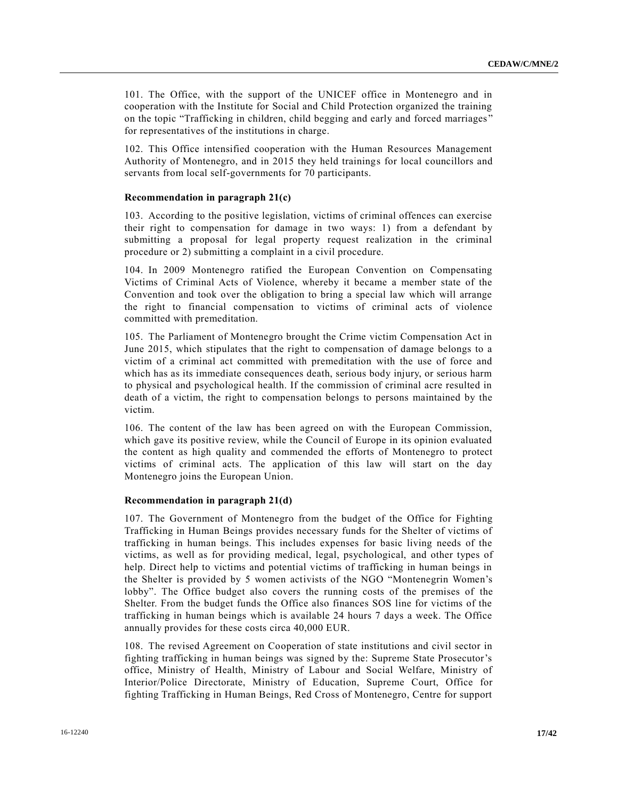101. The Office, with the support of the UNICEF office in Montenegro and in cooperation with the Institute for Social and Child Protection organized the training on the topic "Trafficking in children, child begging and early and forced marriages " for representatives of the institutions in charge.

102. This Office intensified cooperation with the Human Resources Management Authority of Montenegro, and in 2015 they held trainings for local councillors and servants from local self-governments for 70 participants.

#### **Recommendation in paragraph 21(c)**

103. According to the positive legislation, victims of criminal offences can exercise their right to compensation for damage in two ways: 1) from a defendant by submitting a proposal for legal property request realization in the criminal procedure or 2) submitting a complaint in a civil procedure.

104. In 2009 Montenegro ratified the European Convention on Compensating Victims of Criminal Acts of Violence, whereby it became a member state of the Convention and took over the obligation to bring a special law which will arrange the right to financial compensation to victims of criminal acts of violence committed with premeditation.

105. The Parliament of Montenegro brought the Crime victim Compensation Act in June 2015, which stipulates that the right to compensation of damage belongs to a victim of a criminal act committed with premeditation with the use of force and which has as its immediate consequences death, serious body injury, or serious harm to physical and psychological health. If the commission of criminal acre resulted in death of a victim, the right to compensation belongs to persons maintained by the victim.

106. The content of the law has been agreed on with the European Commission, which gave its positive review, while the Council of Europe in its opinion evaluated the content as high quality and commended the efforts of Montenegro to protect victims of criminal acts. The application of this law will start on the day Montenegro joins the European Union.

#### **Recommendation in paragraph 21(d)**

107. The Government of Montenegro from the budget of the Office for Fighting Trafficking in Human Beings provides necessary funds for the Shelter of victims of trafficking in human beings. This includes expenses for basic living needs of the victims, as well as for providing medical, legal, psychological, and other types of help. Direct help to victims and potential victims of trafficking in human beings in the Shelter is provided by 5 women activists of the NGO "Montenegrin Women's lobby". The Office budget also covers the running costs of the premises of the Shelter. From the budget funds the Office also finances SOS line for victims of the trafficking in human beings which is available 24 hours 7 days a week. The Office annually provides for these costs circa 40,000 EUR.

108. The revised Agreement on Cooperation of state institutions and civil sector in fighting trafficking in human beings was signed by the: Supreme State Prosecutor's office, Ministry of Health, Ministry of Labour and Social Welfare, Ministry of Interior/Police Directorate, Ministry of Education, Supreme Court, Office for fighting Trafficking in Human Beings, Red Cross of Montenegro, Centre for support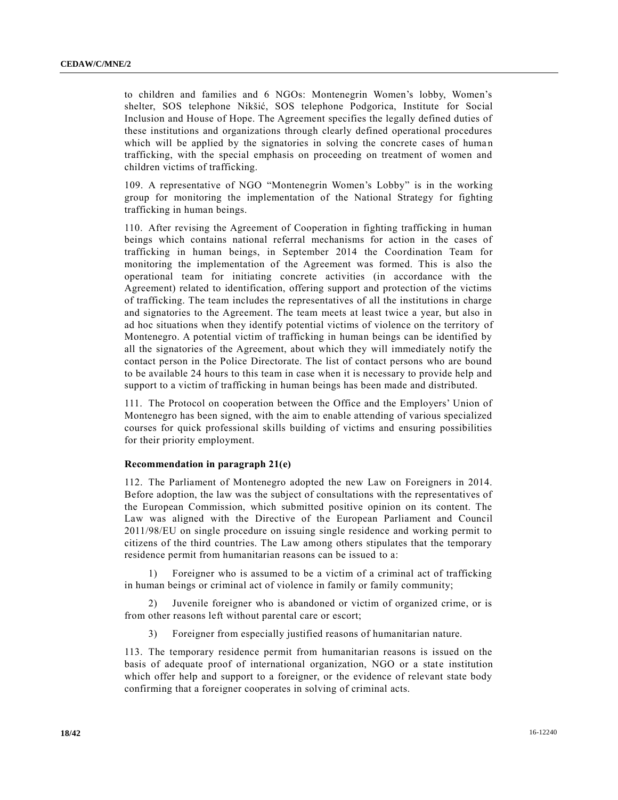to children and families and 6 NGOs: Montenegrin Women's lobby, Women's shelter, SOS telephone Nikšić, SOS telephone Podgorica, Institute for Social Inclusion and House of Hope. The Agreement specifies the legally defined duties of these institutions and organizations through clearly defined operational procedures which will be applied by the signatories in solving the concrete cases of human trafficking, with the special emphasis on proceeding on treatment of women and children victims of trafficking.

109. A representative of NGO "Montenegrin Women's Lobby" is in the working group for monitoring the implementation of the National Strategy for fighting trafficking in human beings.

110. After revising the Agreement of Cooperation in fighting trafficking in human beings which contains national referral mechanisms for action in the cases of trafficking in human beings, in September 2014 the Coordination Team for monitoring the implementation of the Agreement was formed. This is also the operational team for initiating concrete activities (in accordance with the Agreement) related to identification, offering support and protection of the victims of trafficking. The team includes the representatives of all the institutions in charge and signatories to the Agreement. The team meets at least twice a year, but also in ad hoc situations when they identify potential victims of violence on the territory of Montenegro. A potential victim of trafficking in human beings can be identified by all the signatories of the Agreement, about which they will immediately notify the contact person in the Police Directorate. The list of contact persons who are bound to be available 24 hours to this team in case when it is necessary to provide help and support to a victim of trafficking in human beings has been made and distributed.

111. The Protocol on cooperation between the Office and the Employers' Union of Montenegro has been signed, with the aim to enable attending of various specialized courses for quick professional skills building of victims and ensuring possibilities for their priority employment.

## **Recommendation in paragraph 21(e)**

112. The Parliament of Montenegro adopted the new Law on Foreigners in 2014. Before adoption, the law was the subject of consultations with the representatives of the European Commission, which submitted positive opinion on its content. The Law was aligned with the Directive of the European Parliament and Council 2011/98/EU on single procedure on issuing single residence and working permit to citizens of the third countries. The Law among others stipulates that the temporary residence permit from humanitarian reasons can be issued to a:

1) Foreigner who is assumed to be a victim of a criminal act of trafficking in human beings or criminal act of violence in family or family community;

2) Juvenile foreigner who is abandoned or victim of organized crime, or is from other reasons left without parental care or escort;

3) Foreigner from especially justified reasons of humanitarian nature.

113. The temporary residence permit from humanitarian reasons is issued on the basis of adequate proof of international organization, NGO or a state institution which offer help and support to a foreigner, or the evidence of relevant state body confirming that a foreigner cooperates in solving of criminal acts.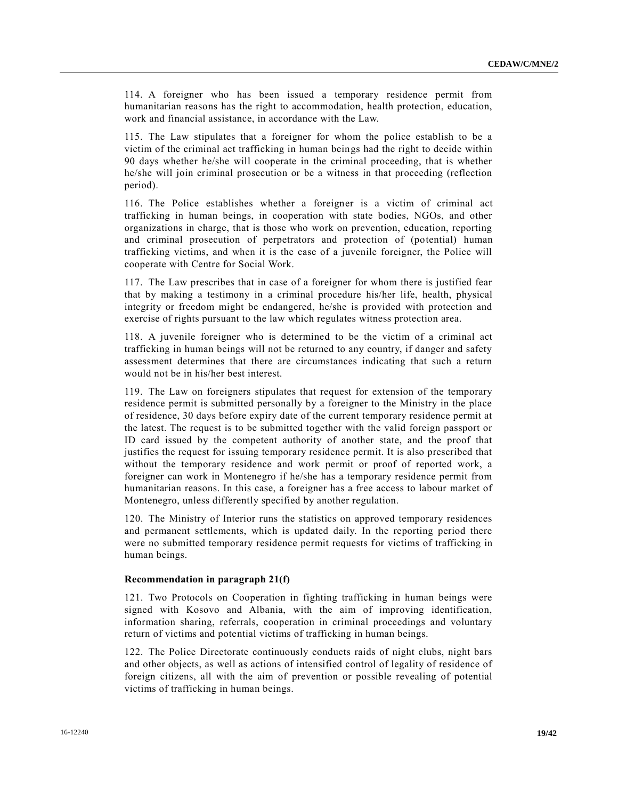114. A foreigner who has been issued a temporary residence permit from humanitarian reasons has the right to accommodation, health protection, education, work and financial assistance, in accordance with the Law.

115. The Law stipulates that a foreigner for whom the police establish to be a victim of the criminal act trafficking in human beings had the right to decide within 90 days whether he/she will cooperate in the criminal proceeding, that is whether he/she will join criminal prosecution or be a witness in that proceeding (reflection period).

116. The Police establishes whether a foreigner is a victim of criminal act trafficking in human beings, in cooperation with state bodies, NGOs, and other organizations in charge, that is those who work on prevention, education, reporting and criminal prosecution of perpetrators and protection of (potential) human trafficking victims, and when it is the case of a juvenile foreigner, the Police will cooperate with Centre for Social Work.

117. The Law prescribes that in case of a foreigner for whom there is justified fear that by making a testimony in a criminal procedure his/her life, health, physical integrity or freedom might be endangered, he/she is provided with protection and exercise of rights pursuant to the law which regulates witness protection area.

118. A juvenile foreigner who is determined to be the victim of a criminal act trafficking in human beings will not be returned to any country, if danger and safety assessment determines that there are circumstances indicating that such a return would not be in his/her best interest.

119. The Law on foreigners stipulates that request for extension of the temporary residence permit is submitted personally by a foreigner to the Ministry in the place of residence, 30 days before expiry date of the current temporary residence permit at the latest. The request is to be submitted together with the valid foreign passport or ID card issued by the competent authority of another state, and the proof that justifies the request for issuing temporary residence permit. It is also prescribed that without the temporary residence and work permit or proof of reported work, a foreigner can work in Montenegro if he/she has a temporary residence permit from humanitarian reasons. In this case, a foreigner has a free access to labour market of Montenegro, unless differently specified by another regulation.

120. The Ministry of Interior runs the statistics on approved temporary residences and permanent settlements, which is updated daily. In the reporting period there were no submitted temporary residence permit requests for victims of trafficking in human beings.

#### **Recommendation in paragraph 21(f)**

121. Two Protocols on Cooperation in fighting trafficking in human beings were signed with Kosovo and Albania, with the aim of improving identification, information sharing, referrals, cooperation in criminal proceedings and voluntary return of victims and potential victims of trafficking in human beings.

122. The Police Directorate continuously conducts raids of night clubs, night bars and other objects, as well as actions of intensified control of legality of residence of foreign citizens, all with the aim of prevention or possible revealing of potential victims of trafficking in human beings.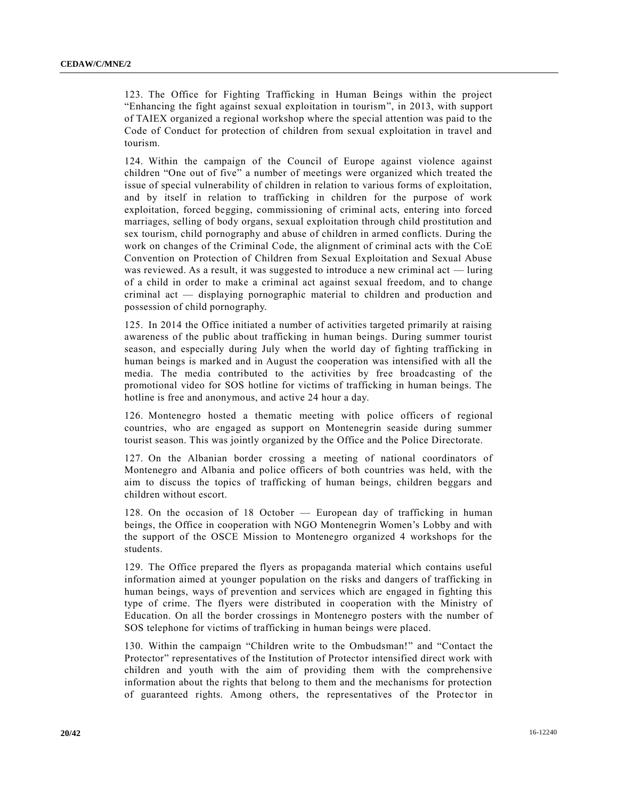123. The Office for Fighting Trafficking in Human Beings within the project "Enhancing the fight against sexual exploitation in tourism", in 2013, with support of TAIEX organized a regional workshop where the special attention was paid to the Code of Conduct for protection of children from sexual exploitation in travel and tourism.

124. Within the campaign of the Council of Europe against violence against children "One out of five" a number of meetings were organized which treated the issue of special vulnerability of children in relation to various forms of exploitation, and by itself in relation to trafficking in children for the purpose of work exploitation, forced begging, commissioning of criminal acts, entering into forced marriages, selling of body organs, sexual exploitation through child prostitution and sex tourism, child pornography and abuse of children in armed conflicts. During the work on changes of the Criminal Code, the alignment of criminal acts with the CoE Convention on Protection of Children from Sexual Exploitation and Sexual Abuse was reviewed. As a result, it was suggested to introduce a new criminal act — luring of a child in order to make a criminal act against sexual freedom, and to change criminal act — displaying pornographic material to children and production and possession of child pornography.

125. In 2014 the Office initiated a number of activities targeted primarily at raising awareness of the public about trafficking in human beings. During summer tourist season, and especially during July when the world day of fighting trafficking in human beings is marked and in August the cooperation was intensified with all the media. The media contributed to the activities by free broadcasting of the promotional video for SOS hotline for victims of trafficking in human beings. The hotline is free and anonymous, and active 24 hour a day.

126. Montenegro hosted a thematic meeting with police officers of regional countries, who are engaged as support on Montenegrin seaside during summer tourist season. This was jointly organized by the Office and the Police Directorate.

127. On the Albanian border crossing a meeting of national coordinators of Montenegro and Albania and police officers of both countries was held, with the aim to discuss the topics of trafficking of human beings, children beggars and children without escort.

128. On the occasion of 18 October — European day of trafficking in human beings, the Office in cooperation with NGO Montenegrin Women's Lobby and with the support of the OSCE Mission to Montenegro organized 4 workshops for the students.

129. The Office prepared the flyers as propaganda material which contains useful information aimed at younger population on the risks and dangers of trafficking in human beings, ways of prevention and services which are engaged in fighting this type of crime. The flyers were distributed in cooperation with the Ministry of Education. On all the border crossings in Montenegro posters with the number of SOS telephone for victims of trafficking in human beings were placed.

130. Within the campaign "Children write to the Ombudsman!" and "Contact the Protector" representatives of the Institution of Protector intensified direct work with children and youth with the aim of providing them with the comprehensive information about the rights that belong to them and the mechanisms for protection of guaranteed rights. Among others, the representatives of the Protector in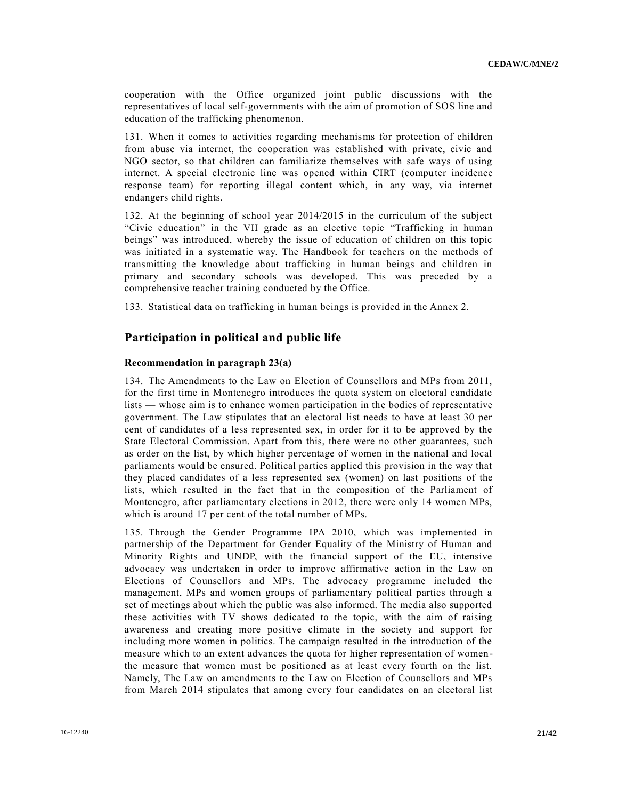cooperation with the Office organized joint public discussions with the representatives of local self-governments with the aim of promotion of SOS line and education of the trafficking phenomenon.

131. When it comes to activities regarding mechanisms for protection of children from abuse via internet, the cooperation was established with private, civic and NGO sector, so that children can familiarize themselves with safe ways of using internet. A special electronic line was opened within CIRT (computer incidence response team) for reporting illegal content which, in any way, via internet endangers child rights.

132. At the beginning of school year 2014/2015 in the curriculum of the subject "Civic education" in the VII grade as an elective topic "Trafficking in human beings" was introduced, whereby the issue of education of children on this topic was initiated in a systematic way. The Handbook for teachers on the methods of transmitting the knowledge about trafficking in human beings and children in primary and secondary schools was developed. This was preceded by a comprehensive teacher training conducted by the Office.

133. Statistical data on trafficking in human beings is provided in the Annex 2.

## **Participation in political and public life**

## **Recommendation in paragraph 23(a)**

134. The Amendments to the Law on Election of Counsellors and MPs from 2011, for the first time in Montenegro introduces the quota system on electoral candidate lists — whose aim is to enhance women participation in the bodies of representative government. The Law stipulates that an electoral list needs to have at least 30 per cent of candidates of a less represented sex, in order for it to be approved by the State Electoral Commission. Apart from this, there were no other guarantees, such as order on the list, by which higher percentage of women in the national and local parliaments would be ensured. Political parties applied this provision in the way that they placed candidates of a less represented sex (women) on last positions of the lists, which resulted in the fact that in the composition of the Parliament of Montenegro, after parliamentary elections in 2012, there were only 14 women MPs, which is around 17 per cent of the total number of MPs.

135. Through the Gender Programme IPA 2010, which was implemented in partnership of the Department for Gender Equality of the Ministry of Human and Minority Rights and UNDP, with the financial support of the EU, intensive advocacy was undertaken in order to improve affirmative action in the Law on Elections of Counsellors and MPs. The advocacy programme included the management, MPs and women groups of parliamentary political parties through a set of meetings about which the public was also informed. The media also supported these activities with TV shows dedicated to the topic, with the aim of raising awareness and creating more positive climate in the society and support for including more women in politics. The campaign resulted in the introduction of the measure which to an extent advances the quota for higher representation of womenthe measure that women must be positioned as at least every fourth on the list. Namely, The Law on amendments to the Law on Election of Counsellors and MPs from March 2014 stipulates that among every four candidates on an electoral list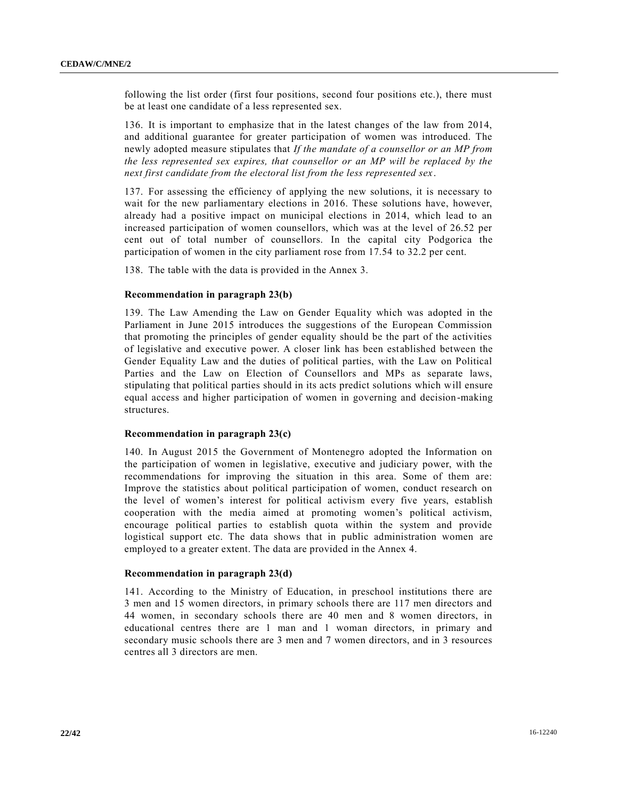following the list order (first four positions, second four positions etc.), there must be at least one candidate of a less represented sex.

136. It is important to emphasize that in the latest changes of the law from 2014, and additional guarantee for greater participation of women was introduced. The newly adopted measure stipulates that *If the mandate of a counsellor or an MP from the less represented sex expires, that counsellor or an MP will be replaced by the next first candidate from the electoral list from the less represented sex*.

137. For assessing the efficiency of applying the new solutions, it is necessary to wait for the new parliamentary elections in 2016. These solutions have, however, already had a positive impact on municipal elections in 2014, which lead to an increased participation of women counsellors, which was at the level of 26.52 per cent out of total number of counsellors. In the capital city Podgorica the participation of women in the city parliament rose from 17.54 to 32.2 per cent.

138. The table with the data is provided in the Annex 3.

#### **Recommendation in paragraph 23(b)**

139. The Law Amending the Law on Gender Equality which was adopted in the Parliament in June 2015 introduces the suggestions of the European Commission that promoting the principles of gender equality should be the part of the activities of legislative and executive power. A closer link has been established between the Gender Equality Law and the duties of political parties, with the Law on Political Parties and the Law on Election of Counsellors and MPs as separate laws, stipulating that political parties should in its acts predict solutions which will ensure equal access and higher participation of women in governing and decision-making structures.

## **Recommendation in paragraph 23(c)**

140. In August 2015 the Government of Montenegro adopted the Information on the participation of women in legislative, executive and judiciary power, with the recommendations for improving the situation in this area. Some of them are: Improve the statistics about political participation of women, conduct research on the level of women's interest for political activism every five years, establish cooperation with the media aimed at promoting women's political activism, encourage political parties to establish quota within the system and provide logistical support etc. The data shows that in public administration women are employed to a greater extent. The data are provided in the Annex 4.

#### **Recommendation in paragraph 23(d)**

141. According to the Ministry of Education, in preschool institutions there are 3 men and 15 women directors, in primary schools there are 117 men directors and 44 women, in secondary schools there are 40 men and 8 women directors, in educational centres there are 1 man and 1 woman directors, in primary and secondary music schools there are 3 men and 7 women directors, and in 3 resources centres all 3 directors are men.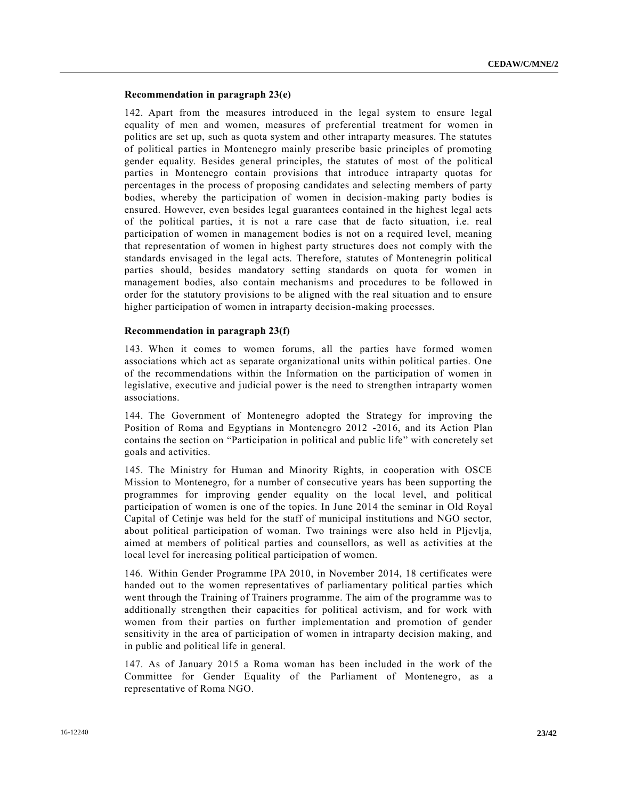## **Recommendation in paragraph 23(e)**

142. Apart from the measures introduced in the legal system to ensure legal equality of men and women, measures of preferential treatment for women in politics are set up, such as quota system and other intraparty measures. The statutes of political parties in Montenegro mainly prescribe basic principles of promoting gender equality. Besides general principles, the statutes of most of the political parties in Montenegro contain provisions that introduce intraparty quotas for percentages in the process of proposing candidates and selecting members of party bodies, whereby the participation of women in decision-making party bodies is ensured. However, even besides legal guarantees contained in the highest legal acts of the political parties, it is not a rare case that de facto situation, i.e. real participation of women in management bodies is not on a required level, meaning that representation of women in highest party structures does not comply with the standards envisaged in the legal acts. Therefore, statutes of Montenegrin political parties should, besides mandatory setting standards on quota for women in management bodies, also contain mechanisms and procedures to be followed in order for the statutory provisions to be aligned with the real situation and to ensure higher participation of women in intraparty decision-making processes.

## **Recommendation in paragraph 23(f)**

143. When it comes to women forums, all the parties have formed women associations which act as separate organizational units within political parties. One of the recommendations within the Information on the participation of women in legislative, executive and judicial power is the need to strengthen intraparty women associations.

144. The Government of Montenegro adopted the Strategy for improving the Position of Roma and Egyptians in Montenegro 2012 -2016, and its Action Plan contains the section on "Participation in political and public life" with concretely set goals and activities.

145. The Ministry for Human and Minority Rights, in cooperation with OSCE Mission to Montenegro, for a number of consecutive years has been supporting the programmes for improving gender equality on the local level, and political participation of women is one of the topics. In June 2014 the seminar in Old Royal Capital of Cetinje was held for the staff of municipal institutions and NGO sector, about political participation of woman. Two trainings were also held in Pljevlja, aimed at members of political parties and counsellors, as well as activities at the local level for increasing political participation of women.

146. Within Gender Programme IPA 2010, in November 2014, 18 certificates were handed out to the women representatives of parliamentary political parties which went through the Training of Trainers programme. The aim of the programme was to additionally strengthen their capacities for political activism, and for work with women from their parties on further implementation and promotion of gender sensitivity in the area of participation of women in intraparty decision making, and in public and political life in general.

147. As of January 2015 a Roma woman has been included in the work of the Committee for Gender Equality of the Parliament of Montenegro, as a representative of Roma NGO.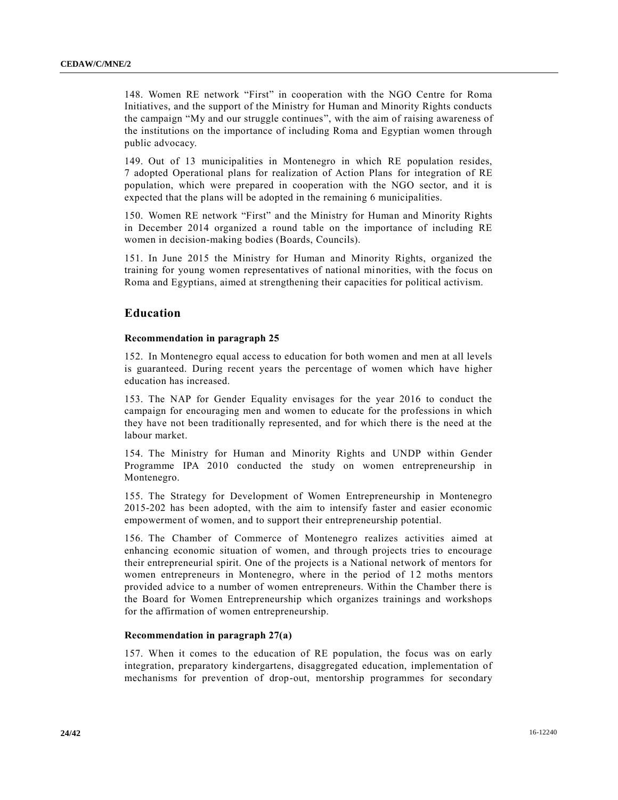148. Women RE network "First" in cooperation with the NGO Centre for Roma Initiatives, and the support of the Ministry for Human and Minority Rights conducts the campaign "My and our struggle continues", with the aim of raising awareness of the institutions on the importance of including Roma and Egyptian women through public advocacy.

149. Out of 13 municipalities in Montenegro in which RE population resides, 7 adopted Operational plans for realization of Action Plans for integration of RE population, which were prepared in cooperation with the NGO sector, and it is expected that the plans will be adopted in the remaining 6 municipalities.

150. Women RE network "First" and the Ministry for Human and Minority Rights in December 2014 organized a round table on the importance of including RE women in decision-making bodies (Boards, Councils).

151. In June 2015 the Ministry for Human and Minority Rights, organized the training for young women representatives of national minorities, with the focus on Roma and Egyptians, aimed at strengthening their capacities for political activism.

# **Education**

## **Recommendation in paragraph 25**

152. In Montenegro equal access to education for both women and men at all levels is guaranteed. During recent years the percentage of women which have higher education has increased.

153. The NAP for Gender Equality envisages for the year 2016 to conduct the campaign for encouraging men and women to educate for the professions in which they have not been traditionally represented, and for which there is the need at the labour market.

154. The Ministry for Human and Minority Rights and UNDP within Gender Programme IPA 2010 conducted the study on women entrepreneurship in Montenegro.

155. The Strategy for Development of Women Entrepreneurship in Montenegro 2015-202 has been adopted, with the aim to intensify faster and easier economic empowerment of women, and to support their entrepreneurship potential.

156. The Chamber of Commerce of Montenegro realizes activities aimed at enhancing economic situation of women, and through projects tries to encourage their entrepreneurial spirit. One of the projects is a National network of mentors for women entrepreneurs in Montenegro, where in the period of 12 moths mentors provided advice to a number of women entrepreneurs. Within the Chamber there is the Board for Women Entrepreneurship which organizes trainings and workshops for the affirmation of women entrepreneurship.

## **Recommendation in paragraph 27(a)**

157. When it comes to the education of RE population, the focus was on early integration, preparatory kindergartens, disaggregated education, implementation of mechanisms for prevention of drop-out, mentorship programmes for secondary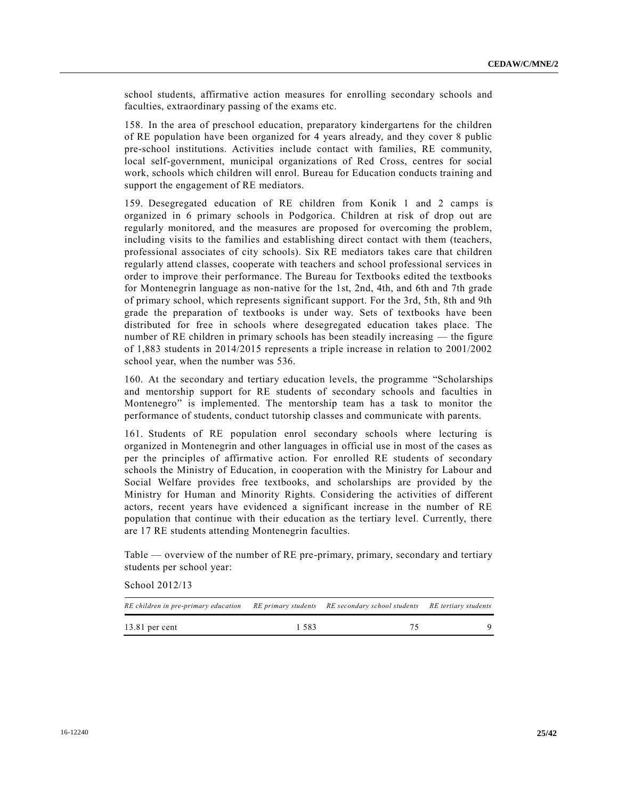school students, affirmative action measures for enrolling secondary schools and faculties, extraordinary passing of the exams etc.

158. In the area of preschool education, preparatory kindergartens for the children of RE population have been organized for 4 years already, and they cover 8 public pre-school institutions. Activities include contact with families, RE community, local self-government, municipal organizations of Red Cross, centres for social work, schools which children will enrol. Bureau for Education conducts training and support the engagement of RE mediators.

159. Desegregated education of RE children from Konik 1 and 2 camps is organized in 6 primary schools in Podgorica. Children at risk of drop out are regularly monitored, and the measures are proposed for overcoming the problem, including visits to the families and establishing direct contact with them (teachers, professional associates of city schools). Six RE mediators takes care that children regularly attend classes, cooperate with teachers and school professional services in order to improve their performance. The Bureau for Textbooks edited the textbooks for Montenegrin language as non-native for the 1st, 2nd, 4th, and 6th and 7th grade of primary school, which represents significant support. For the 3rd, 5th, 8th and 9th grade the preparation of textbooks is under way. Sets of textbooks have been distributed for free in schools where desegregated education takes place. The number of RE children in primary schools has been steadily increasing — the figure of 1,883 students in 2014/2015 represents a triple increase in relation to 2001/2002 school year, when the number was 536.

160. At the secondary and tertiary education levels, the programme "Scholarships and mentorship support for RE students of secondary schools and faculties in Montenegro" is implemented. The mentorship team has a task to monitor the performance of students, conduct tutorship classes and communicate with parents.

161. Students of RE population enrol secondary schools where lecturing is organized in Montenegrin and other languages in official use in most of the cases as per the principles of affirmative action. For enrolled RE students of secondary schools the Ministry of Education, in cooperation with the Ministry for Labour and Social Welfare provides free textbooks, and scholarships are provided by the Ministry for Human and Minority Rights. Considering the activities of different actors, recent years have evidenced a significant increase in the number of RE population that continue with their education as the tertiary level. Currently, there are 17 RE students attending Montenegrin faculties.

Table — overview of the number of RE pre-primary, primary, secondary and tertiary students per school year:

School 2012/13

| RE children in pre-primary education RE primary students RE secondary school students RE tertiary students |      |  |
|------------------------------------------------------------------------------------------------------------|------|--|
| $13.81$ per cent                                                                                           | 1583 |  |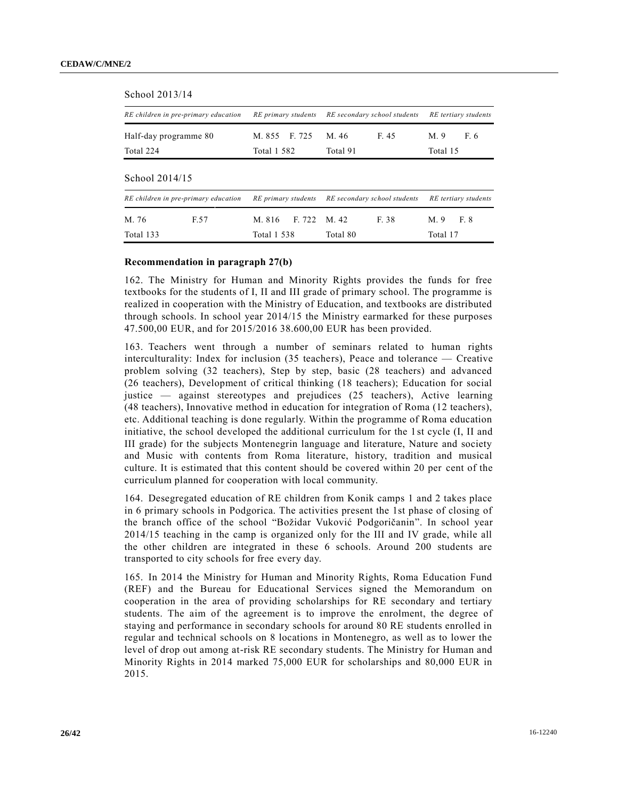| School 2013/14                       |      |                       |        |                              |       |                         |      |  |
|--------------------------------------|------|-----------------------|--------|------------------------------|-------|-------------------------|------|--|
| RE children in pre-primary education |      | RE primary students   |        | RE secondary school students |       | RE tertiary students    |      |  |
| Half-day programme 80<br>Total 224   |      | M. 855<br>Total 1 582 | F. 725 | F. 45<br>M. 46<br>Total 91   |       | M.9<br>F. 6<br>Total 15 |      |  |
| School 2014/15                       |      |                       |        |                              |       |                         |      |  |
| RE children in pre-primary education |      | RE primary students   |        | RE secondary school students |       | RE tertiary students    |      |  |
| M. 76                                | F.57 | M. 816                | F 722  | M 42                         | F. 38 | $M_{\odot}$ 9           | F. 8 |  |
| Total 133                            |      | <b>Total 1 538</b>    |        | Total 80                     |       | Total 17                |      |  |

#### **Recommendation in paragraph 27(b)**

162. The Ministry for Human and Minority Rights provides the funds for free textbooks for the students of I, II and III grade of primary school. The programme is realized in cooperation with the Ministry of Education, and textbooks are distributed through schools. In school year 2014/15 the Ministry earmarked for these purposes 47.500,00 EUR, and for 2015/2016 38.600,00 EUR has been provided.

163. Teachers went through a number of seminars related to human rights interculturality: Index for inclusion (35 teachers), Peace and tolerance — Creative problem solving (32 teachers), Step by step, basic (28 teachers) and advanced (26 teachers), Development of critical thinking (18 teachers); Education for social justice — against stereotypes and prejudices (25 teachers), Active learning (48 teachers), Innovative method in education for integration of Roma (12 teachers), etc. Additional teaching is done regularly. Within the programme of Roma education initiative, the school developed the additional curriculum for the 1st cycle (I, II and III grade) for the subjects Montenegrin language and literature, Nature and society and Music with contents from Roma literature, history, tradition and musical culture. It is estimated that this content should be covered within 20 per cent of the curriculum planned for cooperation with local community.

164. Desegregated education of RE children from Konik camps 1 and 2 takes place in 6 primary schools in Podgorica. The activities present the 1st phase of closing of the branch office of the school "Božidar Vuković Podgoričanin". In school year 2014/15 teaching in the camp is organized only for the III and IV grade, while all the other children are integrated in these 6 schools. Around 200 students are transported to city schools for free every day.

165. In 2014 the Ministry for Human and Minority Rights, Roma Education Fund (REF) and the Bureau for Educational Services signed the Memorandum on cooperation in the area of providing scholarships for RE secondary and tertiary students. The aim of the agreement is to improve the enrolment, the degree of staying and performance in secondary schools for around 80 RE students enrolled in regular and technical schools on 8 locations in Montenegro, as well as to lower the level of drop out among at-risk RE secondary students. The Ministry for Human and Minority Rights in 2014 marked 75,000 EUR for scholarships and 80,000 EUR in 2015.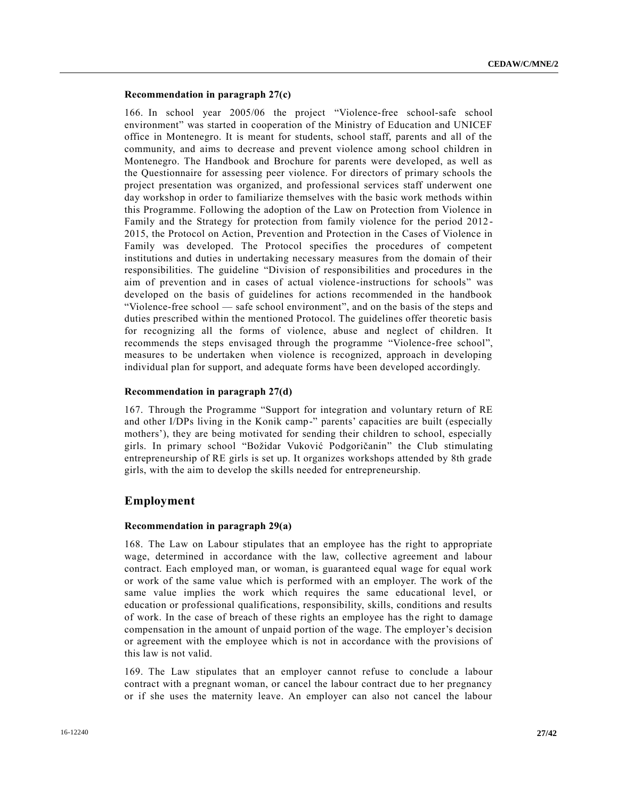## **Recommendation in paragraph 27(c)**

166. In school year 2005/06 the project "Violence-free school-safe school environment" was started in cooperation of the Ministry of Education and UNICEF office in Montenegro. It is meant for students, school staff, parents and all of the community, and aims to decrease and prevent violence among school children in Montenegro. The Handbook and Brochure for parents were developed, as well as the Questionnaire for assessing peer violence. For directors of primary schools the project presentation was organized, and professional services staff underwent one day workshop in order to familiarize themselves with the basic work methods within this Programme. Following the adoption of the Law on Protection from Violence in Family and the Strategy for protection from family violence for the period 2012 - 2015, the Protocol on Action, Prevention and Protection in the Cases of Violence in Family was developed. The Protocol specifies the procedures of competent institutions and duties in undertaking necessary measures from the domain of their responsibilities. The guideline "Division of responsibilities and procedures in the aim of prevention and in cases of actual violence-instructions for schools" was developed on the basis of guidelines for actions recommended in the handbook "Violence-free school — safe school environment", and on the basis of the steps and duties prescribed within the mentioned Protocol. The guidelines offer theoretic basis for recognizing all the forms of violence, abuse and neglect of children. It recommends the steps envisaged through the programme "Violence-free school", measures to be undertaken when violence is recognized, approach in developing individual plan for support, and adequate forms have been developed accordingly.

#### **Recommendation in paragraph 27(d)**

167. Through the Programme "Support for integration and voluntary return of RE and other I/DPs living in the Konik camp-" parents' capacities are built (especially mothers'), they are being motivated for sending their children to school, especially girls. In primary school "Božidar Vuković Podgoričanin" the Club stimulating entrepreneurship of RE girls is set up. It organizes workshops attended by 8th grade girls, with the aim to develop the skills needed for entrepreneurship.

## **Employment**

## **Recommendation in paragraph 29(a)**

168. The Law on Labour stipulates that an employee has the right to appropriate wage, determined in accordance with the law, collective agreement and labour contract. Each employed man, or woman, is guaranteed equal wage for equal work or work of the same value which is performed with an employer. The work of the same value implies the work which requires the same educational level, or education or professional qualifications, responsibility, skills, conditions and results of work. In the case of breach of these rights an employee has the right to damage compensation in the amount of unpaid portion of the wage. The employer's decision or agreement with the employee which is not in accordance with the provisions of this law is not valid.

169. The Law stipulates that an employer cannot refuse to conclude a labour contract with a pregnant woman, or cancel the labour contract due to her pregnancy or if she uses the maternity leave. An employer can also not cancel the labour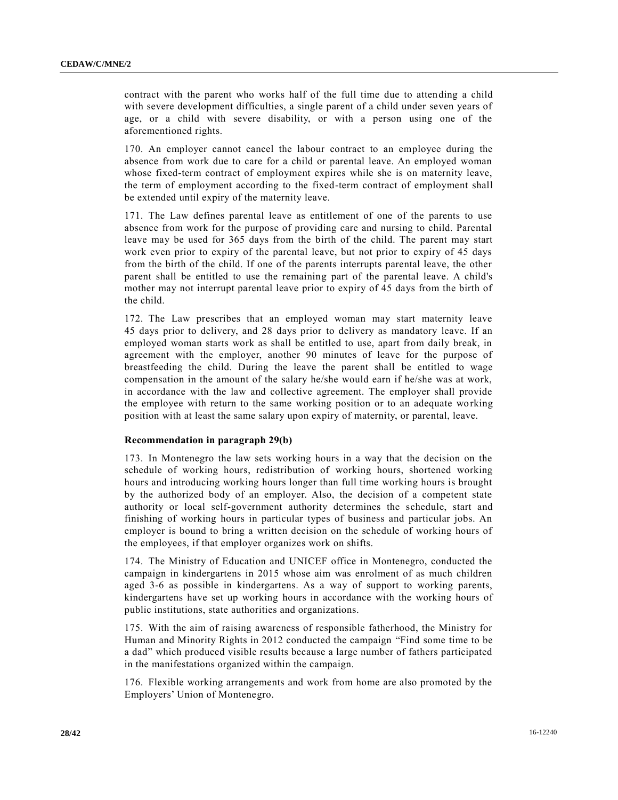contract with the parent who works half of the full time due to attending a child with severe development difficulties, a single parent of a child under seven years of age, or a child with severe disability, or with a person using one of the aforementioned rights.

170. An employer cannot cancel the labour contract to an employee during the absence from work due to care for a child or parental leave. An employed woman whose fixed-term contract of employment expires while she is on maternity leave, the term of employment according to the fixed-term contract of employment shall be extended until expiry of the maternity leave.

171. The Law defines parental leave as entitlement of one of the parents to use absence from work for the purpose of providing care and nursing to child. Parental leave may be used for 365 days from the birth of the child. The parent may start work even prior to expiry of the parental leave, but not prior to expiry of 45 days from the birth of the child. If one of the parents interrupts parental leave, the other parent shall be entitled to use the remaining part of the parental leave. A child's mother may not interrupt parental leave prior to expiry of 45 days from the birth of the child.

172. The Law prescribes that an employed woman may start maternity leave 45 days prior to delivery, and 28 days prior to delivery as mandatory leave. If an employed woman starts work as shall be entitled to use, apart from daily break, in agreement with the employer, another 90 minutes of leave for the purpose of breastfeeding the child. During the leave the parent shall be entitled to wage compensation in the amount of the salary he/she would earn if he/she was at work, in accordance with the law and collective agreement. The employer shall provide the employee with return to the same working position or to an adequate working position with at least the same salary upon expiry of maternity, or parental, leave.

## **Recommendation in paragraph 29(b)**

173. In Montenegro the law sets working hours in a way that the decision on the schedule of working hours, redistribution of working hours, shortened working hours and introducing working hours longer than full time working hours is brought by the authorized body of an employer. Also, the decision of a competent state authority or local self-government authority determines the schedule, start and finishing of working hours in particular types of business and particular jobs. An employer is bound to bring a written decision on the schedule of working hours of the employees, if that employer organizes work on shifts.

174. The Ministry of Education and UNICEF office in Montenegro, conducted the campaign in kindergartens in 2015 whose aim was enrolment of as much children aged 3-6 as possible in kindergartens. As a way of support to working parents, kindergartens have set up working hours in accordance with the working hours of public institutions, state authorities and organizations.

175. With the aim of raising awareness of responsible fatherhood, the Ministry for Human and Minority Rights in 2012 conducted the campaign "Find some time to be a dad" which produced visible results because a large number of fathers participated in the manifestations organized within the campaign.

176. Flexible working arrangements and work from home are also promoted by the Employers' Union of Montenegro.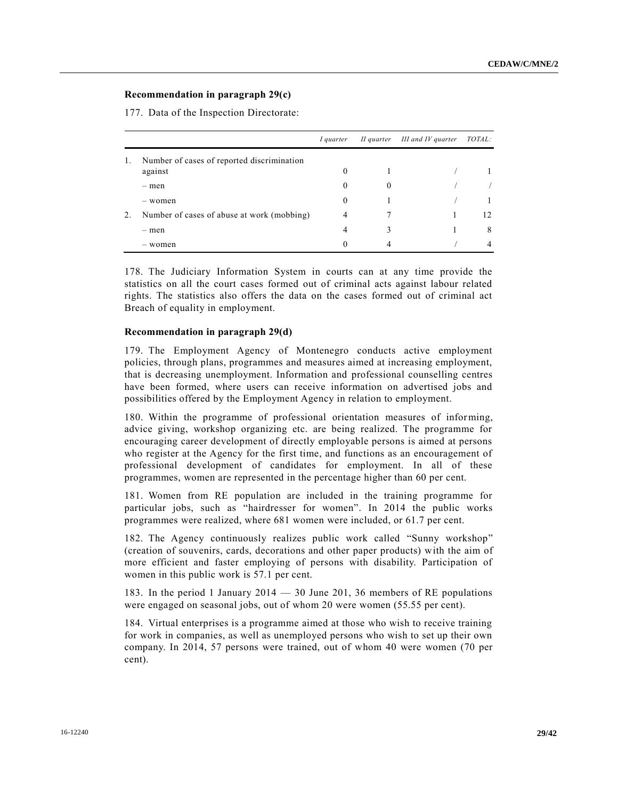# **Recommendation in paragraph 29(c)**

177. Data of the Inspection Directorate:

|    |                                            | I quarter | II quarter | III and IV quarter | <i>TOTAL:</i> |
|----|--------------------------------------------|-----------|------------|--------------------|---------------|
| 1. | Number of cases of reported discrimination |           |            |                    |               |
|    | against                                    | $\theta$  |            |                    |               |
|    | - men                                      | $\theta$  | $^{(1)}$   |                    |               |
|    | - women                                    | $\theta$  |            |                    |               |
| 2. | Number of cases of abuse at work (mobbing) | 4         |            |                    | 12.           |
|    | - men                                      | 4         | 3          |                    | 8             |
|    | - women                                    | $\Omega$  | 4          |                    | 4             |

178. The Judiciary Information System in courts can at any time provide the statistics on all the court cases formed out of criminal acts against labour related rights. The statistics also offers the data on the cases formed out of criminal act Breach of equality in employment.

#### **Recommendation in paragraph 29(d)**

179. The Employment Agency of Montenegro conducts active employment policies, through plans, programmes and measures aimed at increasing employment, that is decreasing unemployment. Information and professional counselling centres have been formed, where users can receive information on advertised jobs and possibilities offered by the Employment Agency in relation to employment.

180. Within the programme of professional orientation measures of informing, advice giving, workshop organizing etc. are being realized. The programme for encouraging career development of directly employable persons is aimed at persons who register at the Agency for the first time, and functions as an encouragement of professional development of candidates for employment. In all of these programmes, women are represented in the percentage higher than 60 per cent.

181. Women from RE population are included in the training programme for particular jobs, such as "hairdresser for women". In 2014 the public works programmes were realized, where 681 women were included, or 61.7 per cent.

182. The Agency continuously realizes public work called "Sunny workshop" (creation of souvenirs, cards, decorations and other paper products) with the aim of more efficient and faster employing of persons with disability. Participation of women in this public work is 57.1 per cent.

183. In the period 1 January 2014 — 30 June 201, 36 members of RE populations were engaged on seasonal jobs, out of whom 20 were women (55.55 per cent).

184. Virtual enterprises is a programme aimed at those who wish to receive training for work in companies, as well as unemployed persons who wish to set up their own company. In 2014, 57 persons were trained, out of whom 40 were women (70 per cent).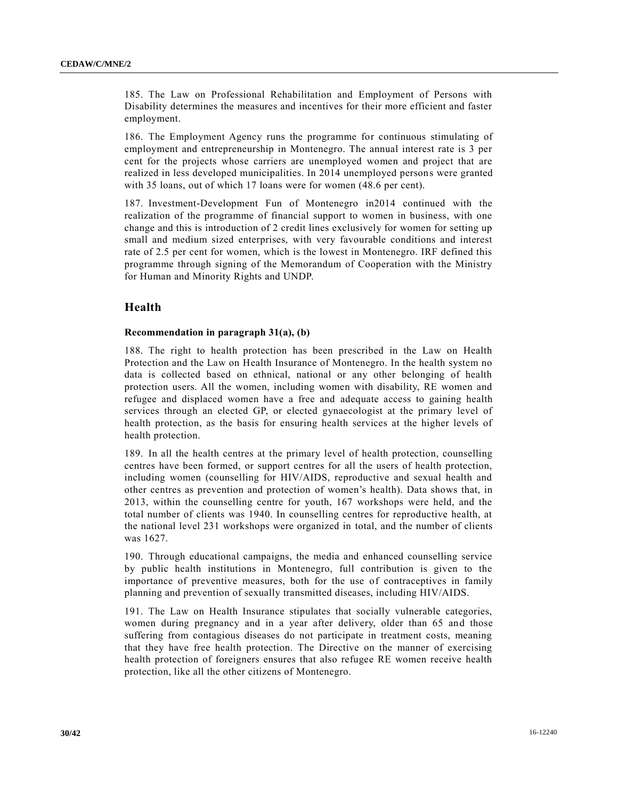185. The Law on Professional Rehabilitation and Employment of Persons with Disability determines the measures and incentives for their more efficient and faster employment.

186. The Employment Agency runs the programme for continuous stimulating of employment and entrepreneurship in Montenegro. The annual interest rate is 3 per cent for the projects whose carriers are unemployed women and project that are realized in less developed municipalities. In 2014 unemployed persons were granted with 35 loans, out of which 17 loans were for women (48.6 per cent).

187. Investment-Development Fun of Montenegro in2014 continued with the realization of the programme of financial support to women in business, with one change and this is introduction of 2 credit lines exclusively for women for setting up small and medium sized enterprises, with very favourable conditions and interest rate of 2.5 per cent for women, which is the lowest in Montenegro. IRF defined this programme through signing of the Memorandum of Cooperation with the Ministry for Human and Minority Rights and UNDP.

# **Health**

## **Recommendation in paragraph 31(a), (b)**

188. The right to health protection has been prescribed in the Law on Health Protection and the Law on Health Insurance of Montenegro. In the health system no data is collected based on ethnical, national or any other belonging of health protection users. All the women, including women with disability, RE women and refugee and displaced women have a free and adequate access to gaining health services through an elected GP, or elected gynaecologist at the primary level of health protection, as the basis for ensuring health services at the higher levels of health protection.

189. In all the health centres at the primary level of health protection, counselling centres have been formed, or support centres for all the users of health protection, including women (counselling for HIV/AIDS, reproductive and sexual health and other centres as prevention and protection of women's health). Data shows that, in 2013, within the counselling centre for youth, 167 workshops were held, and the total number of clients was 1940. In counselling centres for reproductive health, at the national level 231 workshops were organized in total, and the number of clients was 1627.

190. Through educational campaigns, the media and enhanced counselling service by public health institutions in Montenegro, full contribution is given to the importance of preventive measures, both for the use of contraceptives in family planning and prevention of sexually transmitted diseases, including HIV/AIDS.

191. The Law on Health Insurance stipulates that socially vulnerable categories, women during pregnancy and in a year after delivery, older than 65 and those suffering from contagious diseases do not participate in treatment costs, meaning that they have free health protection. The Directive on the manner of exercising health protection of foreigners ensures that also refugee RE women receive health protection, like all the other citizens of Montenegro.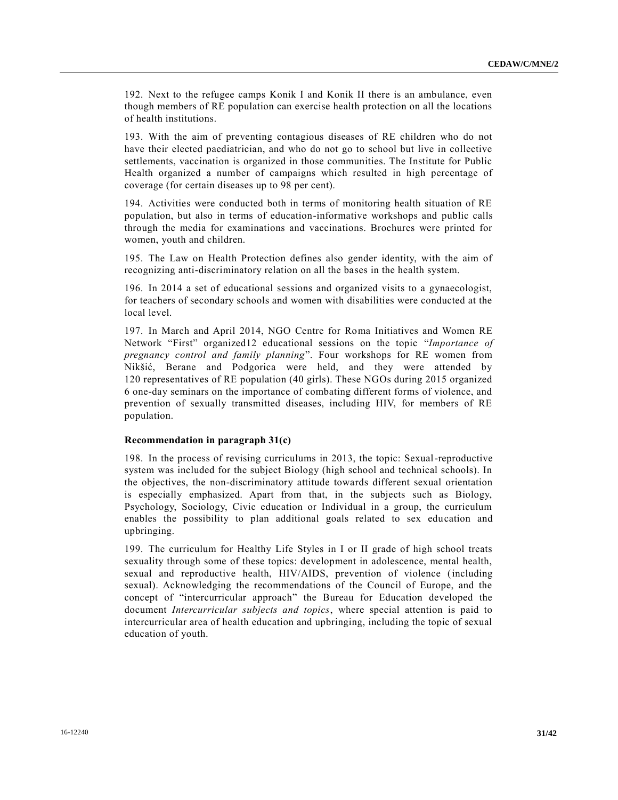192. Next to the refugee camps Konik I and Konik II there is an ambulance, even though members of RE population can exercise health protection on all the locations of health institutions.

193. With the aim of preventing contagious diseases of RE children who do not have their elected paediatrician, and who do not go to school but live in collective settlements, vaccination is organized in those communities. The Institute for Public Health organized a number of campaigns which resulted in high percentage of coverage (for certain diseases up to 98 per cent).

194. Activities were conducted both in terms of monitoring health situation of RE population, but also in terms of education-informative workshops and public calls through the media for examinations and vaccinations. Brochures were printed for women, youth and children.

195. The Law on Health Protection defines also gender identity, with the aim of recognizing anti-discriminatory relation on all the bases in the health system.

196. In 2014 a set of educational sessions and organized visits to a gynaecologist, for teachers of secondary schools and women with disabilities were conducted at the local level.

197. In March and April 2014, NGO Centre for Roma Initiatives and Women RE Network "First" organized12 educational sessions on the topic "*Importance of pregnancy control and family planning*". Four workshops for RE women from Nikšić, Berane and Podgorica were held, and they were attended by 120 representatives of RE population (40 girls). These NGOs during 2015 organized 6 one-day seminars on the importance of combating different forms of violence, and prevention of sexually transmitted diseases, including HIV, for members of RE population.

## **Recommendation in paragraph 31(c)**

198. In the process of revising curriculums in 2013, the topic: Sexual-reproductive system was included for the subject Biology (high school and technical schools). In the objectives, the non-discriminatory attitude towards different sexual orientation is especially emphasized. Apart from that, in the subjects such as Biology, Psychology, Sociology, Civic education or Individual in a group, the curriculum enables the possibility to plan additional goals related to sex education and upbringing.

199. The curriculum for Healthy Life Styles in I or II grade of high school treats sexuality through some of these topics: development in adolescence, mental health, sexual and reproductive health, HIV/AIDS, prevention of violence (including sexual). Acknowledging the recommendations of the Council of Europe, and the concept of "intercurricular approach" the Bureau for Education developed the document *Intercurricular subjects and topics*, where special attention is paid to intercurricular area of health education and upbringing, including the topic of sexual education of youth.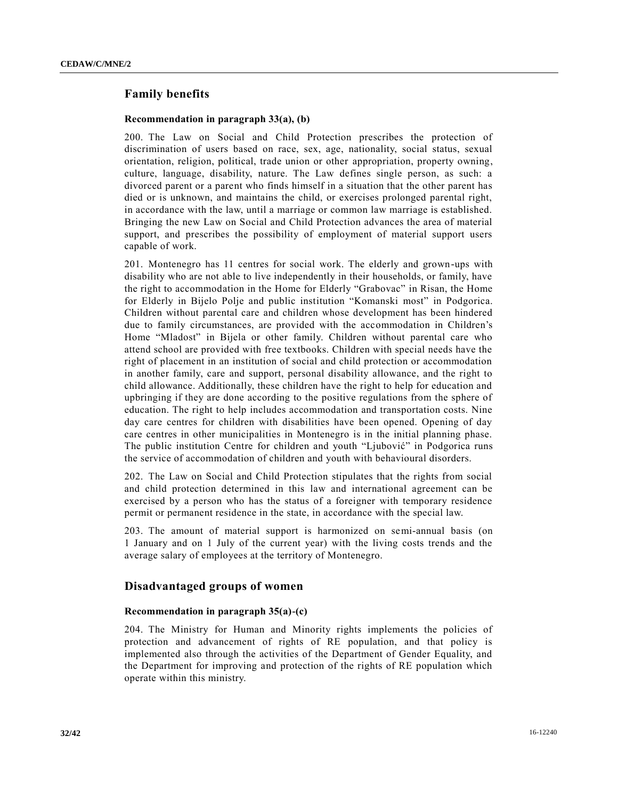# **Family benefits**

#### **Recommendation in paragraph 33(a), (b)**

200. The Law on Social and Child Protection prescribes the protection of discrimination of users based on race, sex, age, nationality, social status, sexual orientation, religion, political, trade union or other appropriation, property owning, culture, language, disability, nature. The Law defines single person, as such: a divorced parent or a parent who finds himself in a situation that the other parent has died or is unknown, and maintains the child, or exercises prolonged parental right, in accordance with the law, until a marriage or common law marriage is established. Bringing the new Law on Social and Child Protection advances the area of material support, and prescribes the possibility of employment of material support users capable of work.

201. Montenegro has 11 centres for social work. The elderly and grown-ups with disability who are not able to live independently in their households, or family, have the right to accommodation in the Home for Elderly "Grabovac" in Risan, the Home for Elderly in Bijelo Polje and public institution "Komanski most" in Podgorica. Children without parental care and children whose development has been hindered due to family circumstances, are provided with the accommodation in Children's Home "Mladost" in Bijela or other family. Children without parental care who attend school are provided with free textbooks. Children with special needs have the right of placement in an institution of social and child protection or accommodation in another family, care and support, personal disability allowance, and the right to child allowance. Additionally, these children have the right to help for education and upbringing if they are done according to the positive regulations from the sphere of education. The right to help includes accommodation and transportation costs. Nine day care centres for children with disabilities have been opened. Opening of day care centres in other municipalities in Montenegro is in the initial planning phase. The public institution Centre for children and youth "Ljubović" in Podgorica runs the service of accommodation of children and youth with behavioural disorders.

202. The Law on Social and Child Protection stipulates that the rights from social and child protection determined in this law and international agreement can be exercised by a person who has the status of a foreigner with temporary residence permit or permanent residence in the state, in accordance with the special law.

203. The amount of material support is harmonized on semi-annual basis (on 1 January and on 1 July of the current year) with the living costs trends and the average salary of employees at the territory of Montenegro.

## **Disadvantaged groups of women**

## **Recommendation in paragraph 35(a)-(c)**

204. The Ministry for Human and Minority rights implements the policies of protection and advancement of rights of RE population, and that policy is implemented also through the activities of the Department of Gender Equality, and the Department for improving and protection of the rights of RE population which operate within this ministry.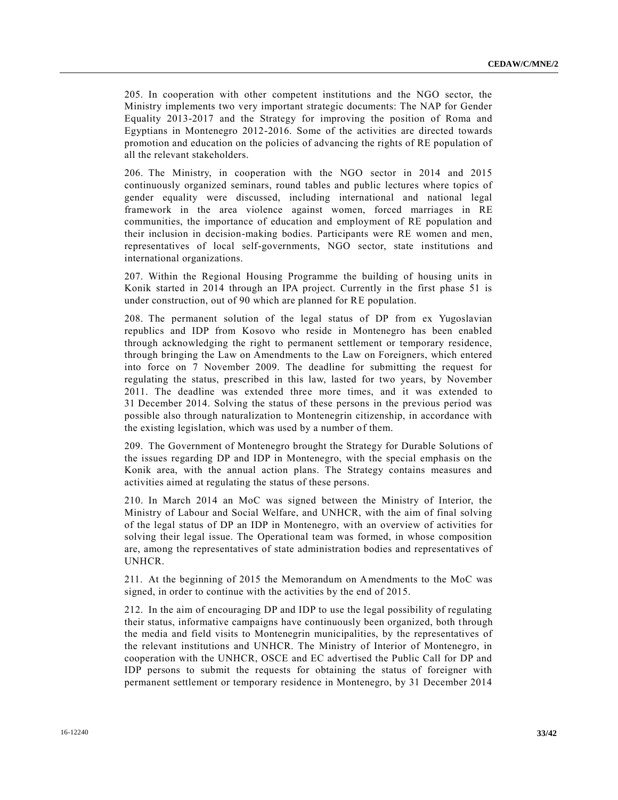205. In cooperation with other competent institutions and the NGO sector, the Ministry implements two very important strategic documents: The NAP for Gender Equality 2013-2017 and the Strategy for improving the position of Roma and Egyptians in Montenegro 2012-2016. Some of the activities are directed towards promotion and education on the policies of advancing the rights of RE population of all the relevant stakeholders.

206. The Ministry, in cooperation with the NGO sector in 2014 and 2015 continuously organized seminars, round tables and public lectures where topics of gender equality were discussed, including international and national legal framework in the area violence against women, forced marriages in RE communities, the importance of education and employment of RE population and their inclusion in decision-making bodies. Participants were RE women and men, representatives of local self-governments, NGO sector, state institutions and international organizations.

207. Within the Regional Housing Programme the building of housing units in Konik started in 2014 through an IPA project. Currently in the first phase 51 is under construction, out of 90 which are planned for RE population.

208. The permanent solution of the legal status of DP from ex Yugoslavian republics and IDP from Kosovo who reside in Montenegro has been enabled through acknowledging the right to permanent settlement or temporary residence, through bringing the Law on Amendments to the Law on Foreigners, which entered into force on 7 November 2009. The deadline for submitting the request for regulating the status, prescribed in this law, lasted for two years, by November 2011. The deadline was extended three more times, and it was extended to 31 December 2014. Solving the status of these persons in the previous period was possible also through naturalization to Montenegrin citizenship, in accordance with the existing legislation, which was used by a number of them.

209. The Government of Montenegro brought the Strategy for Durable Solutions of the issues regarding DP and IDP in Montenegro, with the special emphasis on the Konik area, with the annual action plans. The Strategy contains measures and activities aimed at regulating the status of these persons.

210. In March 2014 an MoC was signed between the Ministry of Interior, the Ministry of Labour and Social Welfare, and UNHCR, with the aim of final solving of the legal status of DP an IDP in Montenegro, with an overview of activities for solving their legal issue. The Operational team was formed, in whose composition are, among the representatives of state administration bodies and representatives of UNHCR.

211. At the beginning of 2015 the Memorandum on Amendments to the MoC was signed, in order to continue with the activities by the end of 2015.

212. In the aim of encouraging DP and IDP to use the legal possibility of regulating their status, informative campaigns have continuously been organized, both through the media and field visits to Montenegrin municipalities, by the representatives of the relevant institutions and UNHCR. The Ministry of Interior of Montenegro, in cooperation with the UNHCR, OSCE and EC advertised the Public Call for DP and IDP persons to submit the requests for obtaining the status of foreigner with permanent settlement or temporary residence in Montenegro, by 31 December 2014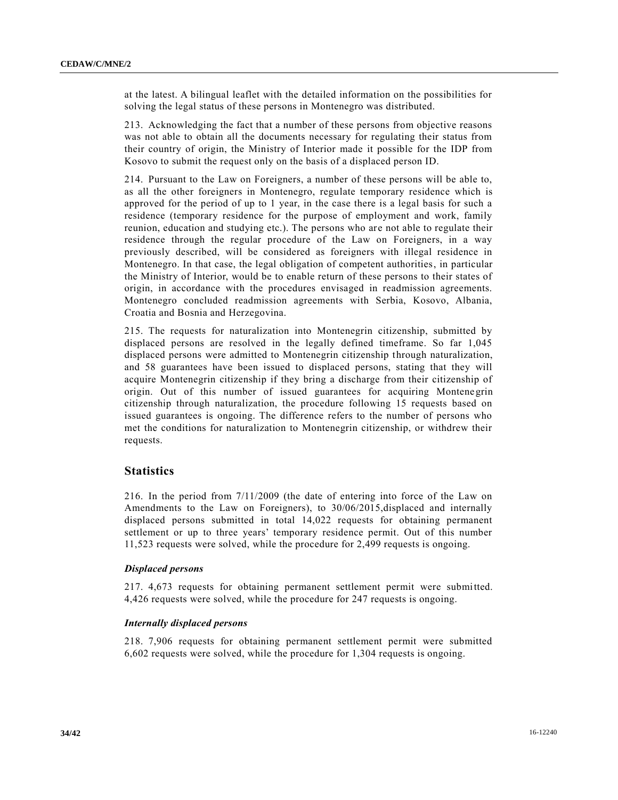at the latest. A bilingual leaflet with the detailed information on the possibilities for solving the legal status of these persons in Montenegro was distributed.

213. Acknowledging the fact that a number of these persons from objective reasons was not able to obtain all the documents necessary for regulating their status from their country of origin, the Ministry of Interior made it possible for the IDP from Kosovo to submit the request only on the basis of a displaced person ID.

214. Pursuant to the Law on Foreigners, a number of these persons will be able to, as all the other foreigners in Montenegro, regulate temporary residence which is approved for the period of up to 1 year, in the case there is a legal basis for such a residence (temporary residence for the purpose of employment and work, family reunion, education and studying etc.). The persons who are not able to regulate their residence through the regular procedure of the Law on Foreigners, in a way previously described, will be considered as foreigners with illegal residence in Montenegro. In that case, the legal obligation of competent authorities, in particular the Ministry of Interior, would be to enable return of these persons to their states of origin, in accordance with the procedures envisaged in readmission agreements. Montenegro concluded readmission agreements with Serbia, Kosovo, Albania, Croatia and Bosnia and Herzegovina.

215. The requests for naturalization into Montenegrin citizenship, submitted by displaced persons are resolved in the legally defined timeframe. So far 1,045 displaced persons were admitted to Montenegrin citizenship through naturalization, and 58 guarantees have been issued to displaced persons, stating that they will acquire Montenegrin citizenship if they bring a discharge from their citizenship of origin. Out of this number of issued guarantees for acquiring Montene grin citizenship through naturalization, the procedure following 15 requests based on issued guarantees is ongoing. The difference refers to the number of persons who met the conditions for naturalization to Montenegrin citizenship, or withdrew their requests.

## **Statistics**

216. In the period from 7/11/2009 (the date of entering into force of the Law on Amendments to the Law on Foreigners), to 30/06/2015,displaced and internally displaced persons submitted in total 14,022 requests for obtaining permanent settlement or up to three years' temporary residence permit. Out of this number 11,523 requests were solved, while the procedure for 2,499 requests is ongoing.

## *Displaced persons*

217. 4,673 requests for obtaining permanent settlement permit were submitted. 4,426 requests were solved, while the procedure for 247 requests is ongoing.

## *Internally displaced persons*

218. 7,906 requests for obtaining permanent settlement permit were submitted 6,602 requests were solved, while the procedure for 1,304 requests is ongoing.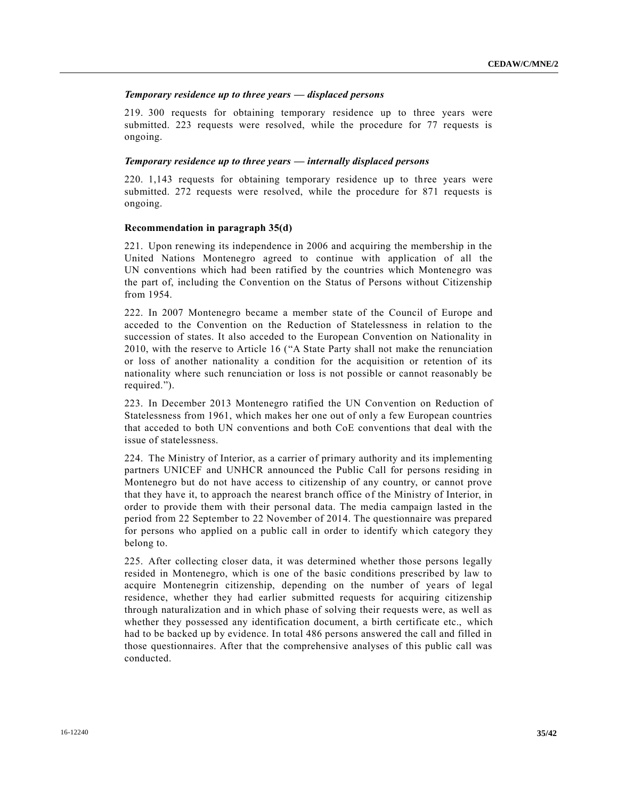## *Temporary residence up to three years — displaced persons*

219. 300 requests for obtaining temporary residence up to three years were submitted. 223 requests were resolved, while the procedure for 77 requests is ongoing.

#### *Temporary residence up to three years — internally displaced persons*

220. 1,143 requests for obtaining temporary residence up to three years were submitted. 272 requests were resolved, while the procedure for 871 requests is ongoing.

#### **Recommendation in paragraph 35(d)**

221. Upon renewing its independence in 2006 and acquiring the membership in the United Nations Montenegro agreed to continue with application of all the UN conventions which had been ratified by the countries which Montenegro was the part of, including the Convention on the Status of Persons without Citizenship from 1954.

222. In 2007 Montenegro became a member state of the Council of Europe and acceded to the Convention on the Reduction of Statelessness in relation to the succession of states. It also acceded to the European Convention on Nationality in 2010, with the reserve to Article 16 ("A State Party shall not make the renunciation or loss of another nationality a condition for the acquisition or retention of its nationality where such renunciation or loss is not possible or cannot reasonably be required.").

223. In December 2013 Montenegro ratified the UN Convention on Reduction of Statelessness from 1961, which makes her one out of only a few European countries that acceded to both UN conventions and both CoE conventions that deal with the issue of statelessness.

224. The Ministry of Interior, as a carrier of primary authority and its implementing partners UNICEF and UNHCR announced the Public Call for persons residing in Montenegro but do not have access to citizenship of any country, or cannot prove that they have it, to approach the nearest branch office of the Ministry of Interior, in order to provide them with their personal data. The media campaign lasted in the period from 22 September to 22 November of 2014. The questionnaire was prepared for persons who applied on a public call in order to identify which category they belong to.

225. After collecting closer data, it was determined whether those persons legally resided in Montenegro, which is one of the basic conditions prescribed by law to acquire Montenegrin citizenship, depending on the number of years of legal residence, whether they had earlier submitted requests for acquiring citizenship through naturalization and in which phase of solving their requests were, as well as whether they possessed any identification document, a birth certificate etc., which had to be backed up by evidence. In total 486 persons answered the call and filled in those questionnaires. After that the comprehensive analyses of this public call was conducted.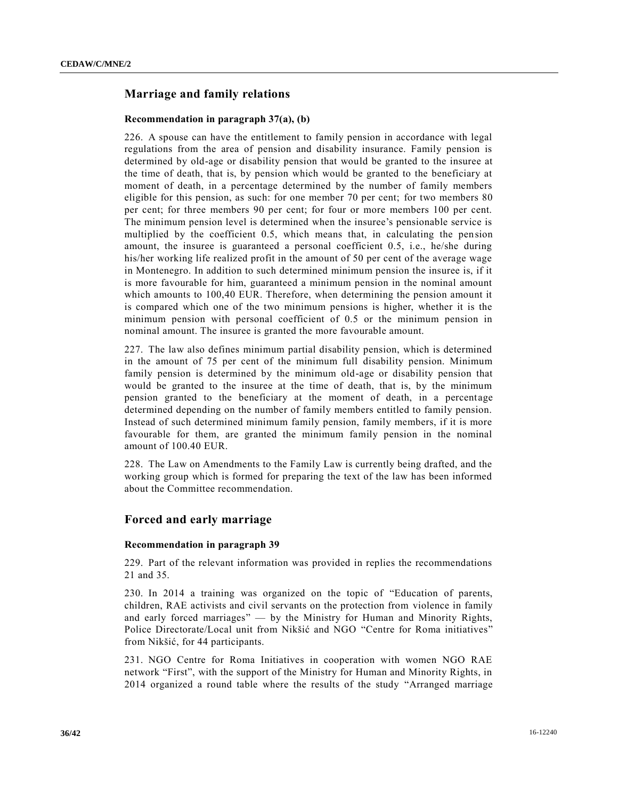# **Marriage and family relations**

#### **Recommendation in paragraph 37(a), (b)**

226. A spouse can have the entitlement to family pension in accordance with legal regulations from the area of pension and disability insurance. Family pension is determined by old-age or disability pension that would be granted to the insuree at the time of death, that is, by pension which would be granted to the beneficiary at moment of death, in a percentage determined by the number of family members eligible for this pension, as such: for one member 70 per cent; for two members 80 per cent; for three members 90 per cent; for four or more members 100 per cent. The minimum pension level is determined when the insuree's pensionable service is multiplied by the coefficient 0.5, which means that, in calculating the pension amount, the insuree is guaranteed a personal coefficient 0.5, i.e., he/she during his/her working life realized profit in the amount of 50 per cent of the average wage in Montenegro. In addition to such determined minimum pension the insuree is, if it is more favourable for him, guaranteed a minimum pension in the nominal amount which amounts to 100,40 EUR. Therefore, when determining the pension amount it is compared which one of the two minimum pensions is higher, whether it is the minimum pension with personal coefficient of 0.5 or the minimum pension in nominal amount. The insuree is granted the more favourable amount.

227. The law also defines minimum partial disability pension, which is determined in the amount of 75 per cent of the minimum full disability pension. Minimum family pension is determined by the minimum old-age or disability pension that would be granted to the insuree at the time of death, that is, by the minimum pension granted to the beneficiary at the moment of death, in a percentage determined depending on the number of family members entitled to family pension. Instead of such determined minimum family pension, family members, if it is more favourable for them, are granted the minimum family pension in the nominal amount of 100.40 EUR.

228. The Law on Amendments to the Family Law is currently being drafted, and the working group which is formed for preparing the text of the law has been informed about the Committee recommendation.

## **Forced and early marriage**

#### **Recommendation in paragraph 39**

229. Part of the relevant information was provided in replies the recommendations 21 and 35.

230. In 2014 a training was organized on the topic of "Education of parents, children, RAE activists and civil servants on the protection from violence in family and early forced marriages" — by the Ministry for Human and Minority Rights, Police Directorate/Local unit from Nikšić and NGO "Centre for Roma initiatives" from Nikšić, for 44 participants.

231. NGO Centre for Roma Initiatives in cooperation with women NGO RAE network "First", with the support of the Ministry for Human and Minority Rights, in 2014 organized a round table where the results of the study "Arranged marriage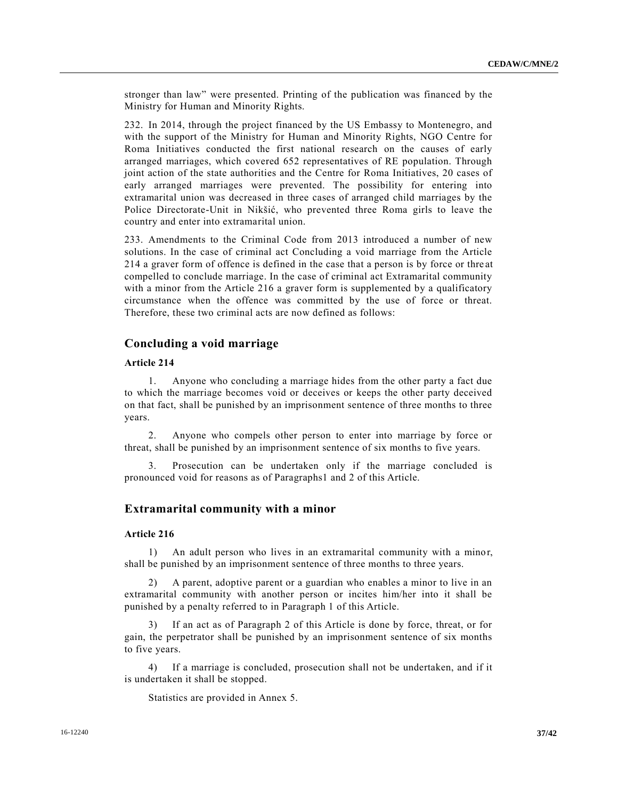stronger than law" were presented. Printing of the publication was financed by the Ministry for Human and Minority Rights.

232. In 2014, through the project financed by the US Embassy to Montenegro, and with the support of the Ministry for Human and Minority Rights, NGO Centre for Roma Initiatives conducted the first national research on the causes of early arranged marriages, which covered 652 representatives of RE population. Through joint action of the state authorities and the Centre for Roma Initiatives, 20 cases of early arranged marriages were prevented. The possibility for entering into extramarital union was decreased in three cases of arranged child marriages by the Police Directorate-Unit in Nikšić, who prevented three Roma girls to leave the country and enter into extramarital union.

233. Amendments to the Criminal Code from 2013 introduced a number of new solutions. In the case of criminal act Concluding a void marriage from the Article 214 a graver form of offence is defined in the case that a person is by force or thre at compelled to conclude marriage. In the case of criminal act Extramarital community with a minor from the Article 216 a graver form is supplemented by a qualificatory circumstance when the offence was committed by the use of force or threat. Therefore, these two criminal acts are now defined as follows:

## **Concluding a void marriage**

#### **Article 214**

1. Anyone who concluding a marriage hides from the other party a fact due to which the marriage becomes void or deceives or keeps the other party deceived on that fact, shall be punished by an imprisonment sentence of three months to three years.

2. Anyone who compels other person to enter into marriage by force or threat, shall be punished by an imprisonment sentence of six months to five years.

3. Prosecution can be undertaken only if the marriage concluded is pronounced void for reasons as of Paragraphs1 and 2 of this Article.

## **Extramarital community with a minor**

## **Article 216**

1) An adult person who lives in an extramarital community with a minor, shall be punished by an imprisonment sentence of three months to three years.

2) A parent, adoptive parent or a guardian who enables a minor to live in an extramarital community with another person or incites him/her into it shall be punished by a penalty referred to in Paragraph 1 of this Article.

3) If an act as of Paragraph 2 of this Article is done by force, threat, or for gain, the perpetrator shall be punished by an imprisonment sentence of six months to five years.

4) If a marriage is concluded, prosecution shall not be undertaken, and if it is undertaken it shall be stopped.

Statistics are provided in Annex 5.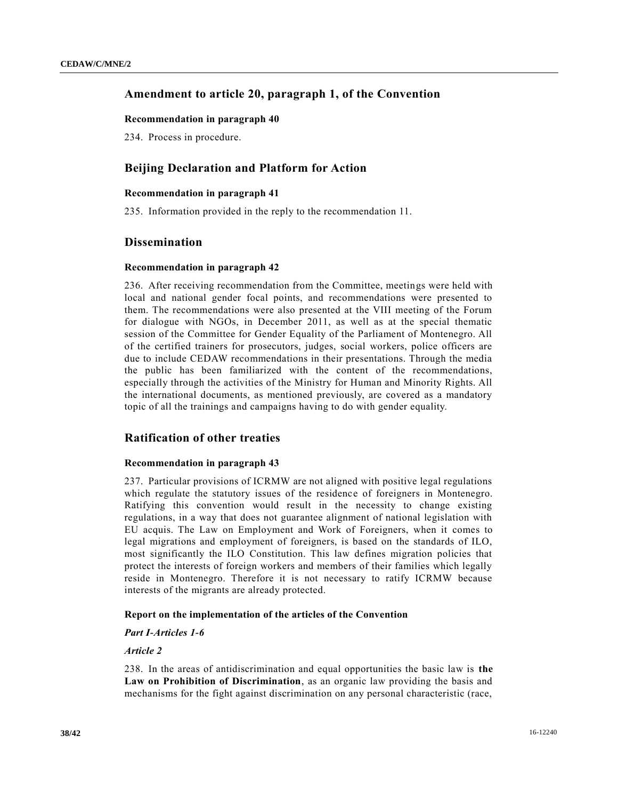# **Amendment to article 20, paragraph 1, of the Convention**

#### **Recommendation in paragraph 40**

234. Process in procedure.

# **Beijing Declaration and Platform for Action**

#### **Recommendation in paragraph 41**

235. Information provided in the reply to the recommendation 11.

## **Dissemination**

#### **Recommendation in paragraph 42**

236. After receiving recommendation from the Committee, meetings were held with local and national gender focal points, and recommendations were presented to them. The recommendations were also presented at the VIII meeting of the Forum for dialogue with NGOs, in December 2011, as well as at the special thematic session of the Committee for Gender Equality of the Parliament of Montenegro. All of the certified trainers for prosecutors, judges, social workers, police officers are due to include CEDAW recommendations in their presentations. Through the media the public has been familiarized with the content of the recommendations, especially through the activities of the Ministry for Human and Minority Rights. All the international documents, as mentioned previously, are covered as a mandatory topic of all the trainings and campaigns having to do with gender equality.

## **Ratification of other treaties**

#### **Recommendation in paragraph 43**

237. Particular provisions of ICRMW are not aligned with positive legal regulations which regulate the statutory issues of the residence of foreigners in Montenegro. Ratifying this convention would result in the necessity to change existing regulations, in a way that does not guarantee alignment of national legislation with EU acquis. The Law on Employment and Work of Foreigners, when it comes to legal migrations and employment of foreigners, is based on the standards of ILO, most significantly the ILO Constitution. This law defines migration policies that protect the interests of foreign workers and members of their families which legally reside in Montenegro. Therefore it is not necessary to ratify ICRMW because interests of the migrants are already protected.

#### **Report on the implementation of the articles of the Convention**

#### *Part I-Articles 1-6*

## *Article 2*

238. In the areas of antidiscrimination and equal opportunities the basic law is **the Law on Prohibition of Discrimination**, as an organic law providing the basis and mechanisms for the fight against discrimination on any personal characteristic (race,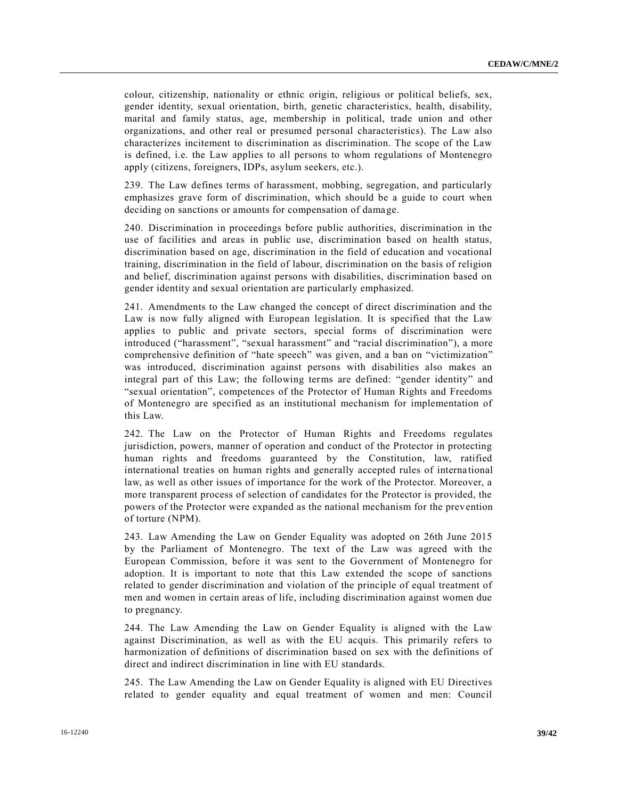colour, citizenship, nationality or ethnic origin, religious or political beliefs, sex, gender identity, sexual orientation, birth, genetic characteristics, health, disability, marital and family status, age, membership in political, trade union and other organizations, and other real or presumed personal characteristics). The Law also characterizes incitement to discrimination as discrimination. The scope of the Law is defined, i.e. the Law applies to all persons to whom regulations of Montenegro apply (citizens, foreigners, IDPs, asylum seekers, etc.).

239. The Law defines terms of harassment, mobbing, segregation, and particularly emphasizes grave form of discrimination, which should be a guide to court when deciding on sanctions or amounts for compensation of damage.

240. Discrimination in proceedings before public authorities, discrimination in the use of facilities and areas in public use, discrimination based on health status, discrimination based on age, discrimination in the field of education and vocational training, discrimination in the field of labour, discrimination on the basis of religion and belief, discrimination against persons with disabilities, discrimination based on gender identity and sexual orientation are particularly emphasized.

241. Amendments to the Law changed the concept of direct discrimination and the Law is now fully aligned with European legislation. It is specified that the Law applies to public and private sectors, special forms of discrimination were introduced ("harassment", "sexual harassment" and "racial discrimination"), a more comprehensive definition of "hate speech" was given, and a ban on "victimization" was introduced, discrimination against persons with disabilities also makes an integral part of this Law; the following terms are defined: "gender identity" and "sexual orientation", competences of the Protector of Human Rights and Freedoms of Montenegro are specified as an institutional mechanism for implementation of this Law.

242. The Law on the Protector of Human Rights and Freedoms regulates jurisdiction, powers, manner of operation and conduct of the Protector in protecting human rights and freedoms guaranteed by the Constitution, law, ratified international treaties on human rights and generally accepted rules of interna tional law, as well as other issues of importance for the work of the Protector. Moreover, a more transparent process of selection of candidates for the Protector is provided, the powers of the Protector were expanded as the national mechanism for the prevention of torture (NPM).

243. Law Amending the Law on Gender Equality was adopted on 26th June 2015 by the Parliament of Montenegro. The text of the Law was agreed with the European Commission, before it was sent to the Government of Montenegro for adoption. It is important to note that this Law extended the scope of sanctions related to gender discrimination and violation of the principle of equal treatment of men and women in certain areas of life, including discrimination against women due to pregnancy.

244. The Law Amending the Law on Gender Equality is aligned with the Law against Discrimination, as well as with the EU acquis. This primarily refers to harmonization of definitions of discrimination based on sex with the definitions of direct and indirect discrimination in line with EU standards.

245. The Law Amending the Law on Gender Equality is aligned with EU Directives related to gender equality and equal treatment of women and men: Council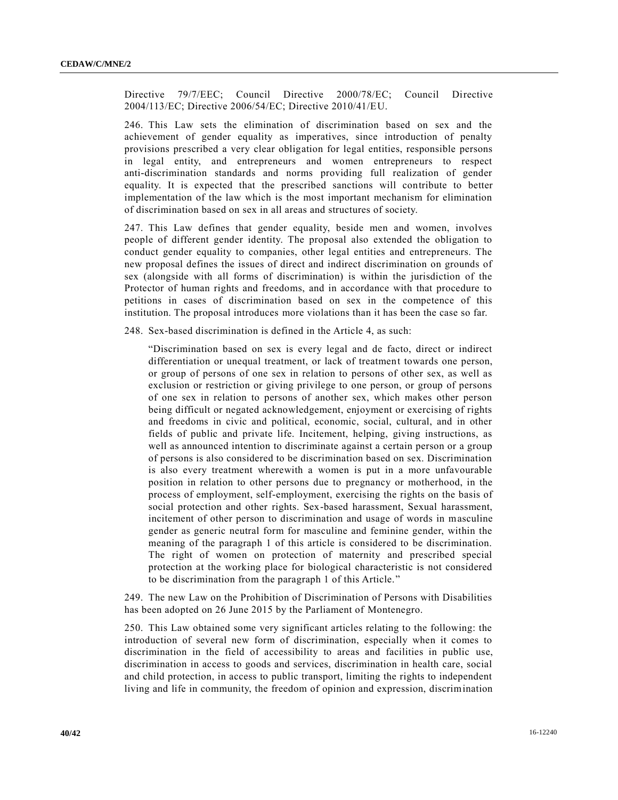Directive 79/7/EEC; Council Directive 2000/78/EC; Council Directive 2004/113/EC; Directive 2006/54/EC; Directive 2010/41/EU.

246. This Law sets the elimination of discrimination based on sex and the achievement of gender equality as imperatives, since introduction of penalty provisions prescribed a very clear obligation for legal entities, responsible persons in legal entity, and entrepreneurs and women entrepreneurs to respect anti-discrimination standards and norms providing full realization of gender equality. It is expected that the prescribed sanctions will contribute to better implementation of the law which is the most important mechanism for elimination of discrimination based on sex in all areas and structures of society.

247. This Law defines that gender equality, beside men and women, involves people of different gender identity. The proposal also extended the obligation to conduct gender equality to companies, other legal entities and entrepreneurs. The new proposal defines the issues of direct and indirect discrimination on grounds of sex (alongside with all forms of discrimination) is within the jurisdiction of the Protector of human rights and freedoms, and in accordance with that procedure to petitions in cases of discrimination based on sex in the competence of this institution. The proposal introduces more violations than it has been the case so far.

248. Sex-based discrimination is defined in the Article 4, as such:

"Discrimination based on sex is every legal and de facto, direct or indirect differentiation or unequal treatment, or lack of treatment towards one person, or group of persons of one sex in relation to persons of other sex, as well as exclusion or restriction or giving privilege to one person, or group of persons of one sex in relation to persons of another sex, which makes other person being difficult or negated acknowledgement, enjoyment or exercising of rights and freedoms in civic and political, economic, social, cultural, and in other fields of public and private life. Incitement, helping, giving instructions, as well as announced intention to discriminate against a certain person or a group of persons is also considered to be discrimination based on sex. Discrimination is also every treatment wherewith a women is put in a more unfavourable position in relation to other persons due to pregnancy or motherhood, in the process of employment, self-employment, exercising the rights on the basis of social protection and other rights. Sex-based harassment, Sexual harassment, incitement of other person to discrimination and usage of words in masculine gender as generic neutral form for masculine and feminine gender, within the meaning of the paragraph 1 of this article is considered to be discrimination. The right of women on protection of maternity and prescribed special protection at the working place for biological characteristic is not considered to be discrimination from the paragraph 1 of this Article."

249. The new Law on the Prohibition of Discrimination of Persons with Disabilities has been adopted on 26 June 2015 by the Parliament of Montenegro.

250. This Law obtained some very significant articles relating to the following: the introduction of several new form of discrimination, especially when it comes to discrimination in the field of accessibility to areas and facilities in public use, discrimination in access to goods and services, discrimination in health care, social and child protection, in access to public transport, limiting the rights to independent living and life in community, the freedom of opinion and expression, discrimination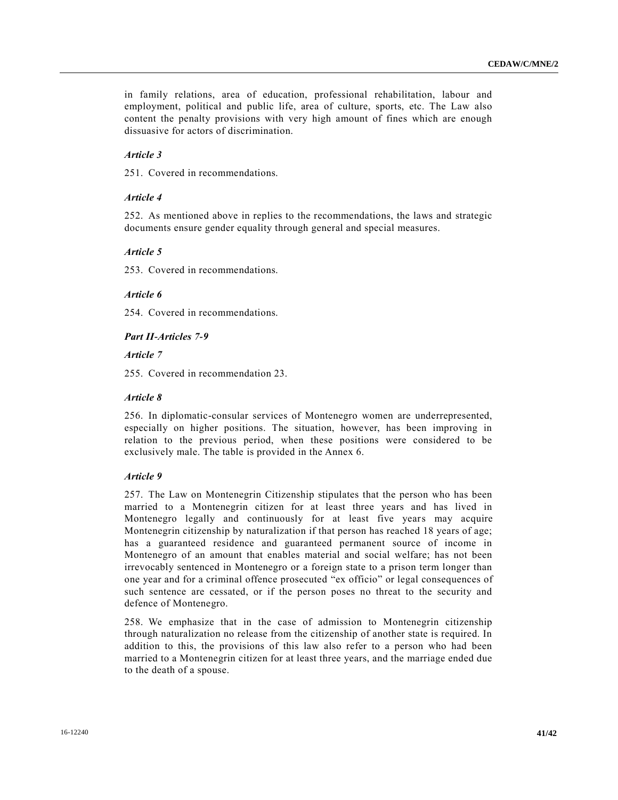in family relations, area of education, professional rehabilitation, labour and employment, political and public life, area of culture, sports, etc. The Law also content the penalty provisions with very high amount of fines which are enough dissuasive for actors of discrimination.

## *Article 3*

251. Covered in recommendations.

## *Article 4*

252. As mentioned above in replies to the recommendations, the laws and strategic documents ensure gender equality through general and special measures.

#### *Article 5*

253. Covered in recommendations.

## *Article 6*

254. Covered in recommendations.

*Part II-Articles 7-9* 

*Article 7*

255. Covered in recommendation 23.

#### *Article 8*

256. In diplomatic-consular services of Montenegro women are underrepresented, especially on higher positions. The situation, however, has been improving in relation to the previous period, when these positions were considered to be exclusively male. The table is provided in the Annex 6.

## *Article 9*

257. The Law on Montenegrin Citizenship stipulates that the person who has been married to a Montenegrin citizen for at least three years and has lived in Montenegro legally and continuously for at least five years may acquire Montenegrin citizenship by naturalization if that person has reached 18 years of age; has a guaranteed residence and guaranteed permanent source of income in Montenegro of an amount that enables material and social welfare; has not been irrevocably sentenced in Montenegro or a foreign state to a prison term longer than one year and for a criminal offence prosecuted "ex officio" or legal consequences of such sentence are cessated, or if the person poses no threat to the security and defence of Montenegro.

258. We emphasize that in the case of admission to Montenegrin citizenship through naturalization no release from the citizenship of another state is required. In addition to this, the provisions of this law also refer to a person who had been married to a Montenegrin citizen for at least three years, and the marriage ended due to the death of a spouse.